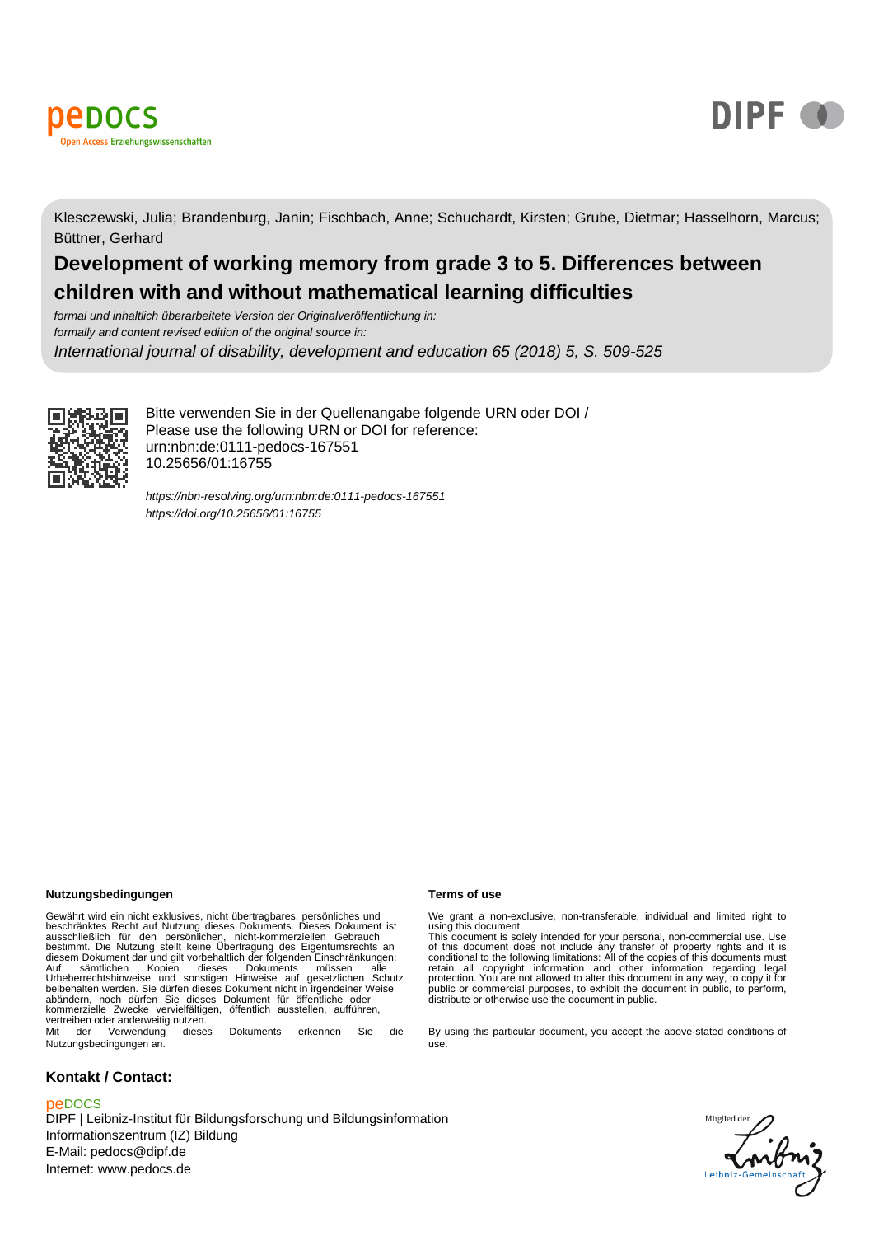



Klesczewski, Julia; Brandenburg, Janin; Fischbach, Anne; Schuchardt, Kirsten; Grube, Dietmar; Hasselhorn, Marcus; Büttner, Gerhard

# **Development of working memory from grade 3 to 5. Differences between children with and without mathematical learning difficulties**

formal und inhaltlich überarbeitete Version der Originalveröffentlichung in: formally and content revised edition of the original source in: International journal of disability, development and education 65 (2018) 5, S. 509-525



Bitte verwenden Sie in der Quellenangabe folgende URN oder DOI / Please use the following URN or DOI for reference: urn:nbn:de:0111-pedocs-167551 10.25656/01:16755

<https://nbn-resolving.org/urn:nbn:de:0111-pedocs-167551> <https://doi.org/10.25656/01:16755>

#### **Nutzungsbedingungen Terms of use**

Gewährt wird ein nicht exklusives, nicht übertragbares, persönliches und<br>beschränktes Recht auf Nutzung dieses Dokuments. Dieses Dokument ist<br>ausschließlich für den persönlichen, nicht-kommerziellen Gebrauch<br>bestimmt. Die Auf sämtlichen Kopien dieses Dokuments müssen alle Urheberrechtshinweise und sonstigen Hinweise auf gesetzlichen Schutz beibehalten werden. Sie dürfen dieses Dokument nicht in irgendeiner Weise abändern, noch dürfen Sie dieses Dokument für öffentliche oder kommerzielle Zwecke vervielfältigen, öffentlich ausstellen, aufführen, vertreiben oder anderweitig nutzen. Mit der Verwendung dieses Dokuments erkennen Sie die

Nutzungsbedingungen an.

#### **Kontakt / Contact:**

#### peDOCS

DIPF | Leibniz-Institut für Bildungsforschung und Bildungsinformation Informationszentrum (IZ) Bildung E-Mail: pedocs@dipf.de Internet: www.pedocs.de

We grant a non-exclusive, non-transferable, individual and limited right to<br>using this document.<br>This document is solely intended for your personal, non-commercial use. Use<br>of this document does not include any transfer of

By using this particular document, you accept the above-stated conditions of use.

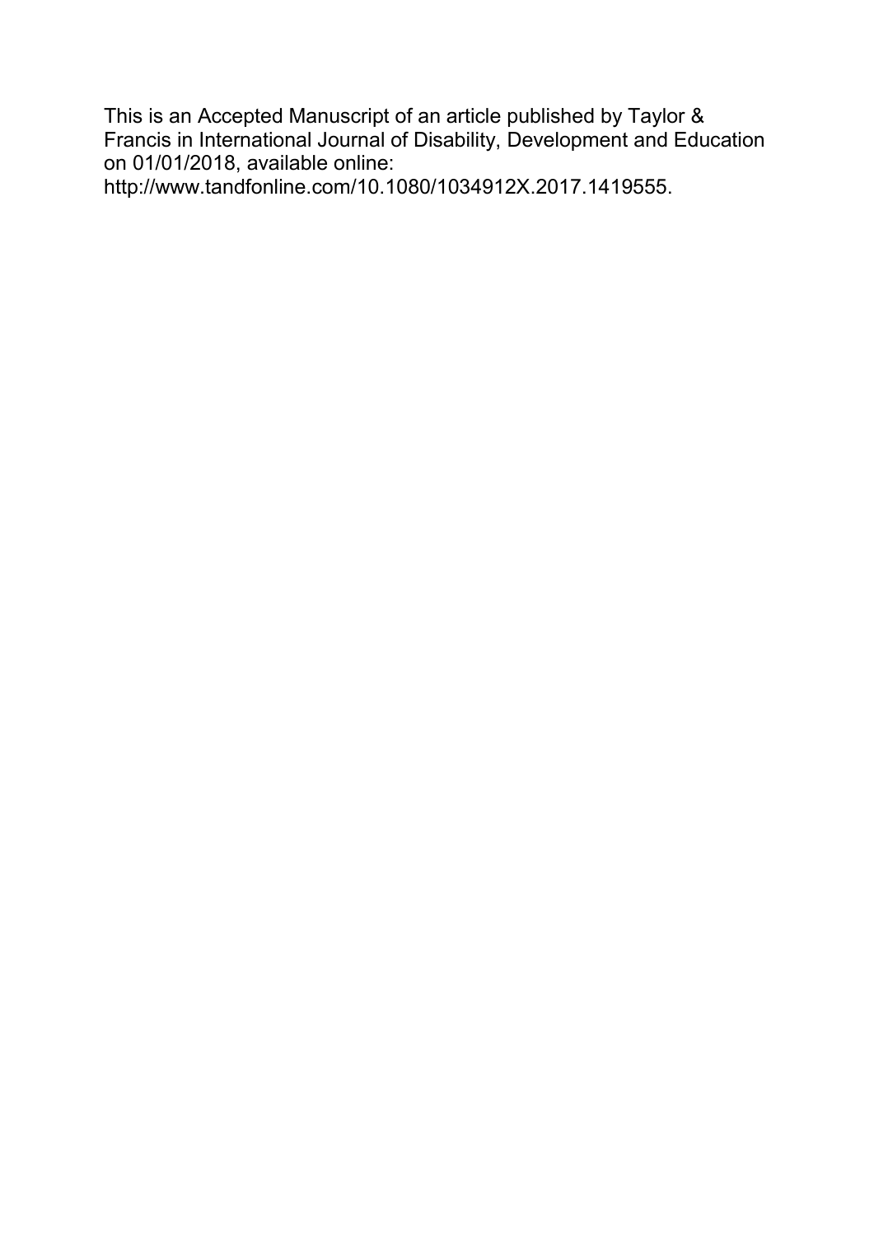This is an Accepted Manuscript of an article published by Taylor & Francis in International Journal of Disability, Development and Education on 01/01/2018, available online:

http://www.tandfonline.com/10.1080/1034912X.2017.1419555.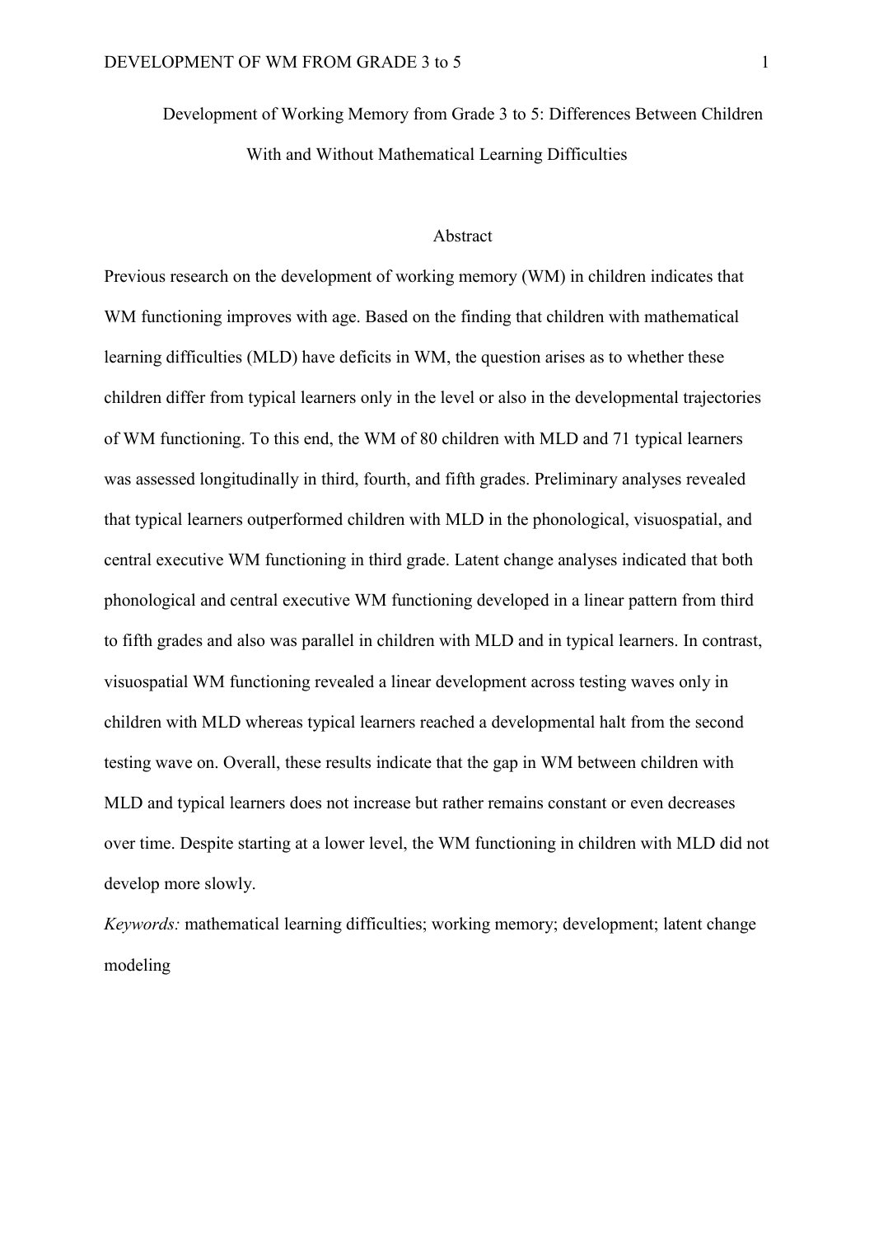Development of Working Memory from Grade 3 to 5: Differences Between Children With and Without Mathematical Learning Difficulties

#### Abstract

Previous research on the development of working memory (WM) in children indicates that WM functioning improves with age. Based on the finding that children with mathematical learning difficulties (MLD) have deficits in WM, the question arises as to whether these children differ from typical learners only in the level or also in the developmental trajectories of WM functioning. To this end, the WM of 80 children with MLD and 71 typical learners was assessed longitudinally in third, fourth, and fifth grades. Preliminary analyses revealed that typical learners outperformed children with MLD in the phonological, visuospatial, and central executive WM functioning in third grade. Latent change analyses indicated that both phonological and central executive WM functioning developed in a linear pattern from third to fifth grades and also was parallel in children with MLD and in typical learners. In contrast, visuospatial WM functioning revealed a linear development across testing waves only in children with MLD whereas typical learners reached a developmental halt from the second testing wave on. Overall, these results indicate that the gap in WM between children with MLD and typical learners does not increase but rather remains constant or even decreases over time. Despite starting at a lower level, the WM functioning in children with MLD did not develop more slowly.

*Keywords:* mathematical learning difficulties; working memory; development; latent change modeling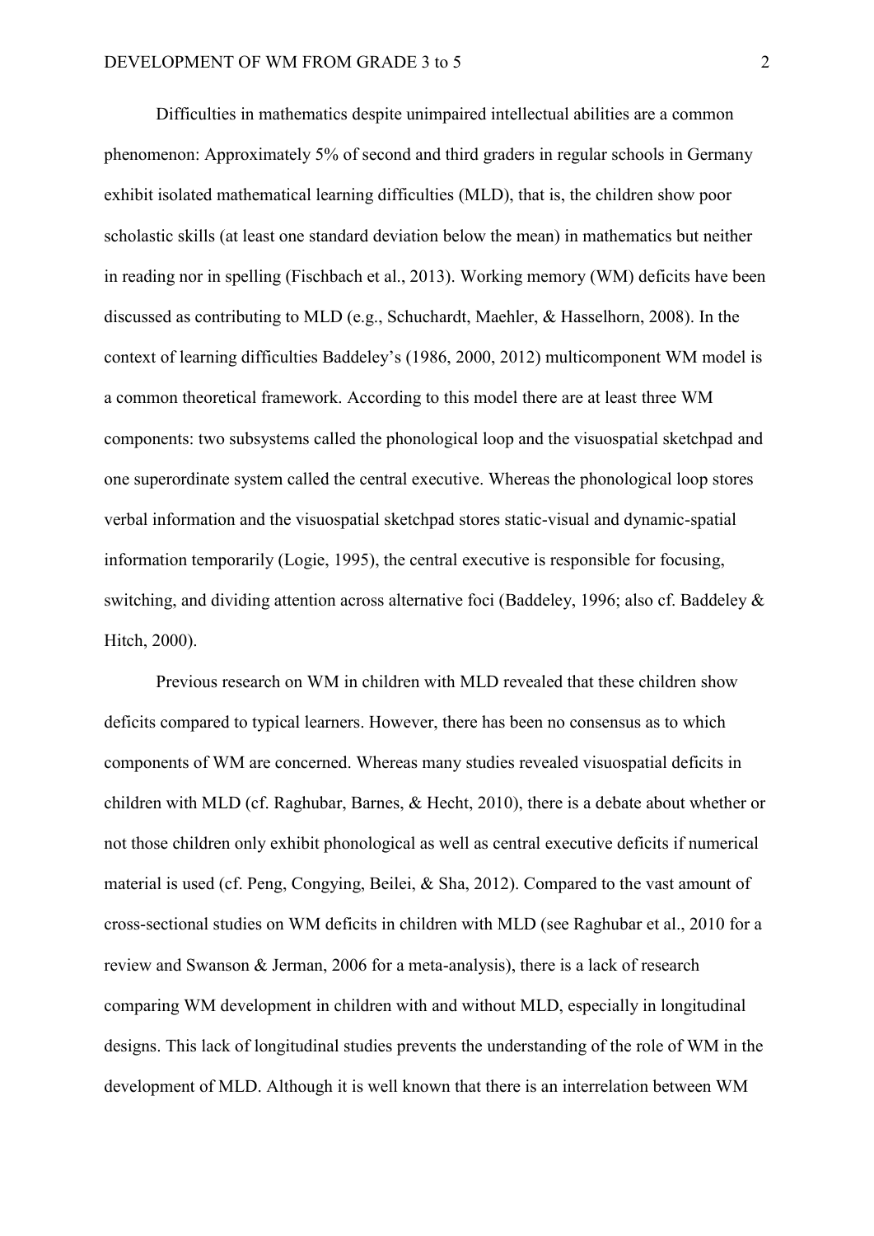Difficulties in mathematics despite unimpaired intellectual abilities are a common phenomenon: Approximately 5% of second and third graders in regular schools in Germany exhibit isolated mathematical learning difficulties (MLD), that is, the children show poor scholastic skills (at least one standard deviation below the mean) in mathematics but neither in reading nor in spelling (Fischbach et al., 2013). Working memory (WM) deficits have been discussed as contributing to MLD (e.g., Schuchardt, Maehler, & Hasselhorn, 2008). In the context of learning difficulties Baddeley's (1986, 2000, 2012) multicomponent WM model is a common theoretical framework. According to this model there are at least three WM components: two subsystems called the phonological loop and the visuospatial sketchpad and one superordinate system called the central executive. Whereas the phonological loop stores verbal information and the visuospatial sketchpad stores static-visual and dynamic-spatial information temporarily (Logie, 1995), the central executive is responsible for focusing, switching, and dividing attention across alternative foci (Baddeley, 1996; also cf. Baddeley & Hitch, 2000).

Previous research on WM in children with MLD revealed that these children show deficits compared to typical learners. However, there has been no consensus as to which components of WM are concerned. Whereas many studies revealed visuospatial deficits in children with MLD (cf. Raghubar, Barnes, & Hecht, 2010), there is a debate about whether or not those children only exhibit phonological as well as central executive deficits if numerical material is used (cf. Peng, Congying, Beilei, & Sha, 2012). Compared to the vast amount of cross-sectional studies on WM deficits in children with MLD (see Raghubar et al., 2010 for a review and Swanson & Jerman, 2006 for a meta-analysis), there is a lack of research comparing WM development in children with and without MLD, especially in longitudinal designs. This lack of longitudinal studies prevents the understanding of the role of WM in the development of MLD. Although it is well known that there is an interrelation between WM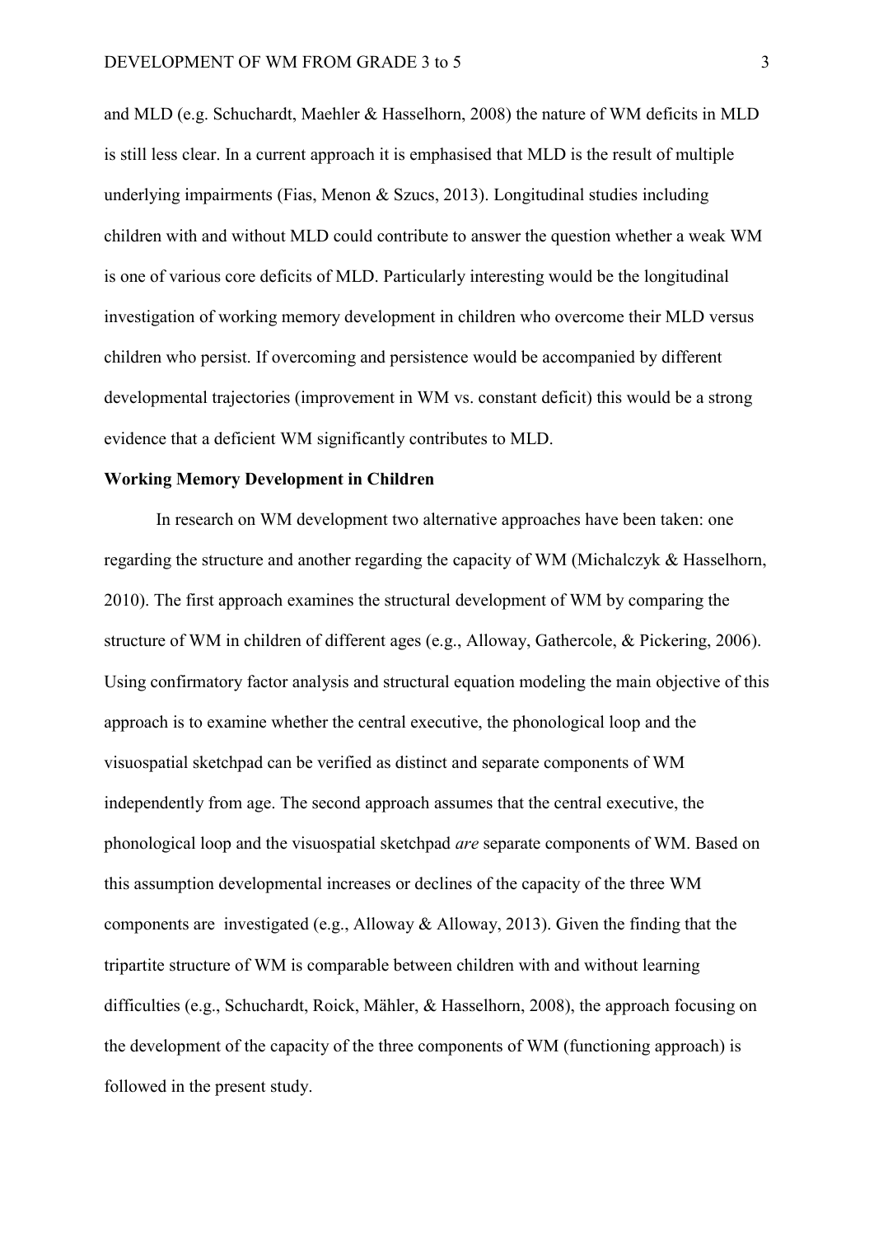and MLD (e.g. Schuchardt, Maehler & Hasselhorn, 2008) the nature of WM deficits in MLD is still less clear. In a current approach it is emphasised that MLD is the result of multiple underlying impairments (Fias, Menon & Szucs, 2013). Longitudinal studies including children with and without MLD could contribute to answer the question whether a weak WM is one of various core deficits of MLD. Particularly interesting would be the longitudinal investigation of working memory development in children who overcome their MLD versus children who persist. If overcoming and persistence would be accompanied by different developmental trajectories (improvement in WM vs. constant deficit) this would be a strong evidence that a deficient WM significantly contributes to MLD.

#### **Working Memory Development in Children**

In research on WM development two alternative approaches have been taken: one regarding the structure and another regarding the capacity of WM (Michalczyk & Hasselhorn, 2010). The first approach examines the structural development of WM by comparing the structure of WM in children of different ages (e.g., Alloway, Gathercole, & Pickering, 2006). Using confirmatory factor analysis and structural equation modeling the main objective of this approach is to examine whether the central executive, the phonological loop and the visuospatial sketchpad can be verified as distinct and separate components of WM independently from age. The second approach assumes that the central executive, the phonological loop and the visuospatial sketchpad *are* separate components of WM. Based on this assumption developmental increases or declines of the capacity of the three WM components are investigated (e.g., Alloway & Alloway, 2013). Given the finding that the tripartite structure of WM is comparable between children with and without learning difficulties (e.g., Schuchardt, Roick, Mähler, & Hasselhorn, 2008), the approach focusing on the development of the capacity of the three components of WM (functioning approach) is followed in the present study.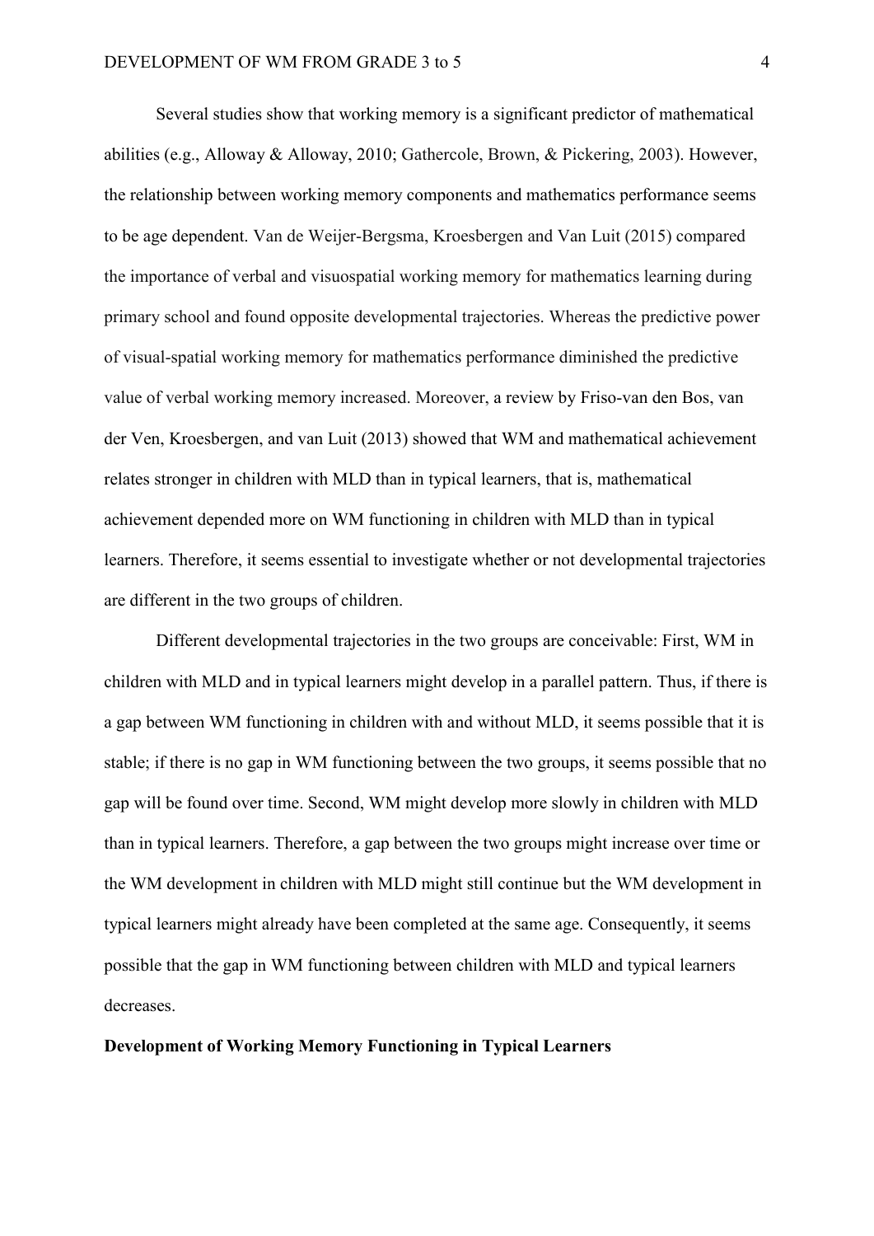Several studies show that working memory is a significant predictor of mathematical abilities (e.g., Alloway & Alloway, 2010; Gathercole, Brown, & Pickering, 2003). However, the relationship between working memory components and mathematics performance seems to be age dependent. Van de Weijer-Bergsma, Kroesbergen and Van Luit (2015) compared the importance of verbal and visuospatial working memory for mathematics learning during primary school and found opposite developmental trajectories. Whereas the predictive power of visual-spatial working memory for mathematics performance diminished the predictive value of verbal working memory increased. Moreover, a review by Friso-van den Bos, van der Ven, Kroesbergen, and van Luit (2013) showed that WM and mathematical achievement relates stronger in children with MLD than in typical learners, that is, mathematical achievement depended more on WM functioning in children with MLD than in typical learners. Therefore, it seems essential to investigate whether or not developmental trajectories are different in the two groups of children.

Different developmental trajectories in the two groups are conceivable: First, WM in children with MLD and in typical learners might develop in a parallel pattern. Thus, if there is a gap between WM functioning in children with and without MLD, it seems possible that it is stable; if there is no gap in WM functioning between the two groups, it seems possible that no gap will be found over time. Second, WM might develop more slowly in children with MLD than in typical learners. Therefore, a gap between the two groups might increase over time or the WM development in children with MLD might still continue but the WM development in typical learners might already have been completed at the same age. Consequently, it seems possible that the gap in WM functioning between children with MLD and typical learners decreases.

#### **Development of Working Memory Functioning in Typical Learners**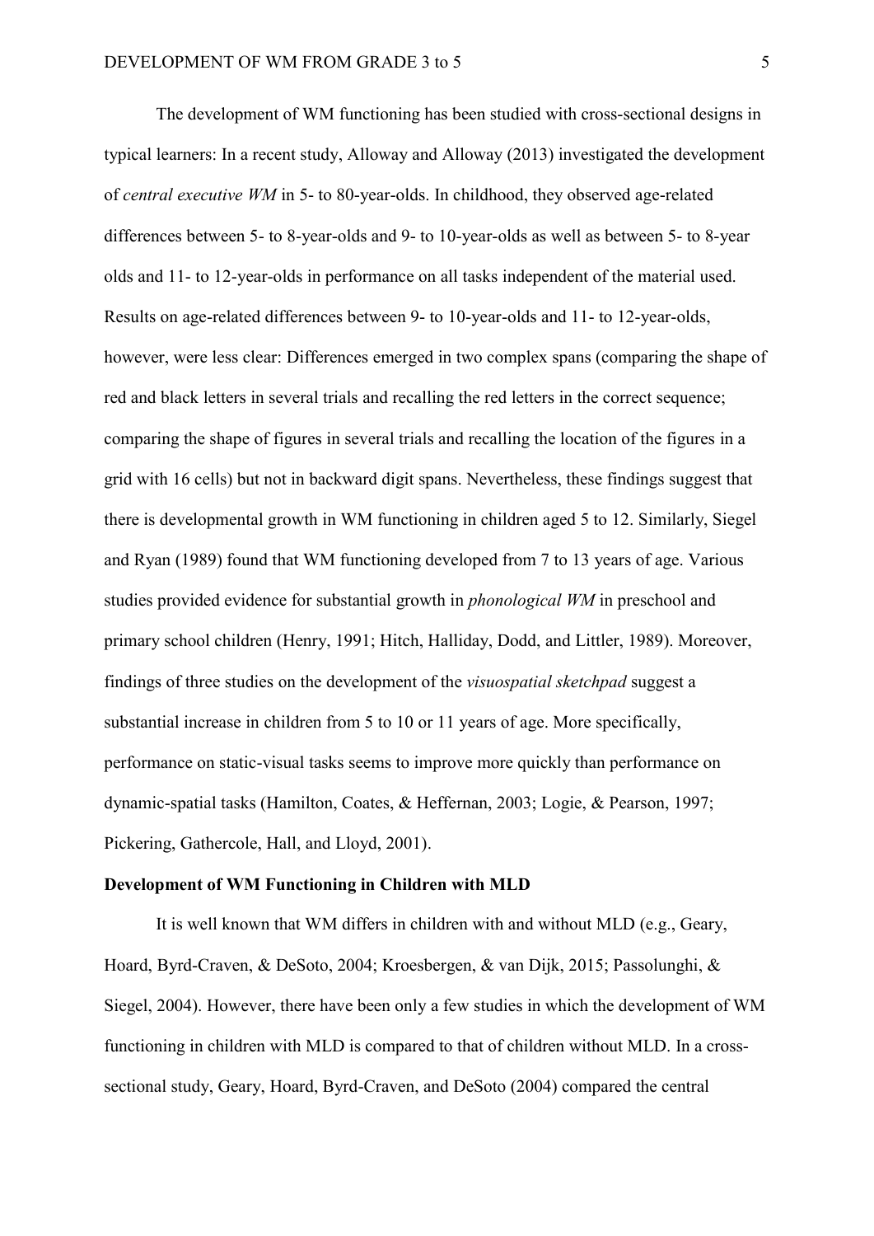The development of WM functioning has been studied with cross-sectional designs in typical learners: In a recent study, Alloway and Alloway (2013) investigated the development of *central executive WM* in 5- to 80-year-olds. In childhood, they observed age-related differences between 5- to 8-year-olds and 9- to 10-year-olds as well as between 5- to 8-year olds and 11- to 12-year-olds in performance on all tasks independent of the material used. Results on age-related differences between 9- to 10-year-olds and 11- to 12-year-olds, however, were less clear: Differences emerged in two complex spans (comparing the shape of red and black letters in several trials and recalling the red letters in the correct sequence; comparing the shape of figures in several trials and recalling the location of the figures in a grid with 16 cells) but not in backward digit spans. Nevertheless, these findings suggest that there is developmental growth in WM functioning in children aged 5 to 12. Similarly, Siegel and Ryan (1989) found that WM functioning developed from 7 to 13 years of age. Various studies provided evidence for substantial growth in *phonological WM* in preschool and primary school children (Henry, 1991; Hitch, Halliday, Dodd, and Littler, 1989). Moreover, findings of three studies on the development of the *visuospatial sketchpad* suggest a substantial increase in children from 5 to 10 or 11 years of age. More specifically, performance on static-visual tasks seems to improve more quickly than performance on dynamic-spatial tasks (Hamilton, Coates, & Heffernan, 2003; Logie, & Pearson, 1997; Pickering, Gathercole, Hall, and Lloyd, 2001).

#### **Development of WM Functioning in Children with MLD**

It is well known that WM differs in children with and without MLD (e.g., Geary, Hoard, Byrd-Craven, & DeSoto, 2004; Kroesbergen, & van Dijk, 2015; Passolunghi, & Siegel, 2004). However, there have been only a few studies in which the development of WM functioning in children with MLD is compared to that of children without MLD. In a crosssectional study, Geary, Hoard, Byrd-Craven, and DeSoto (2004) compared the central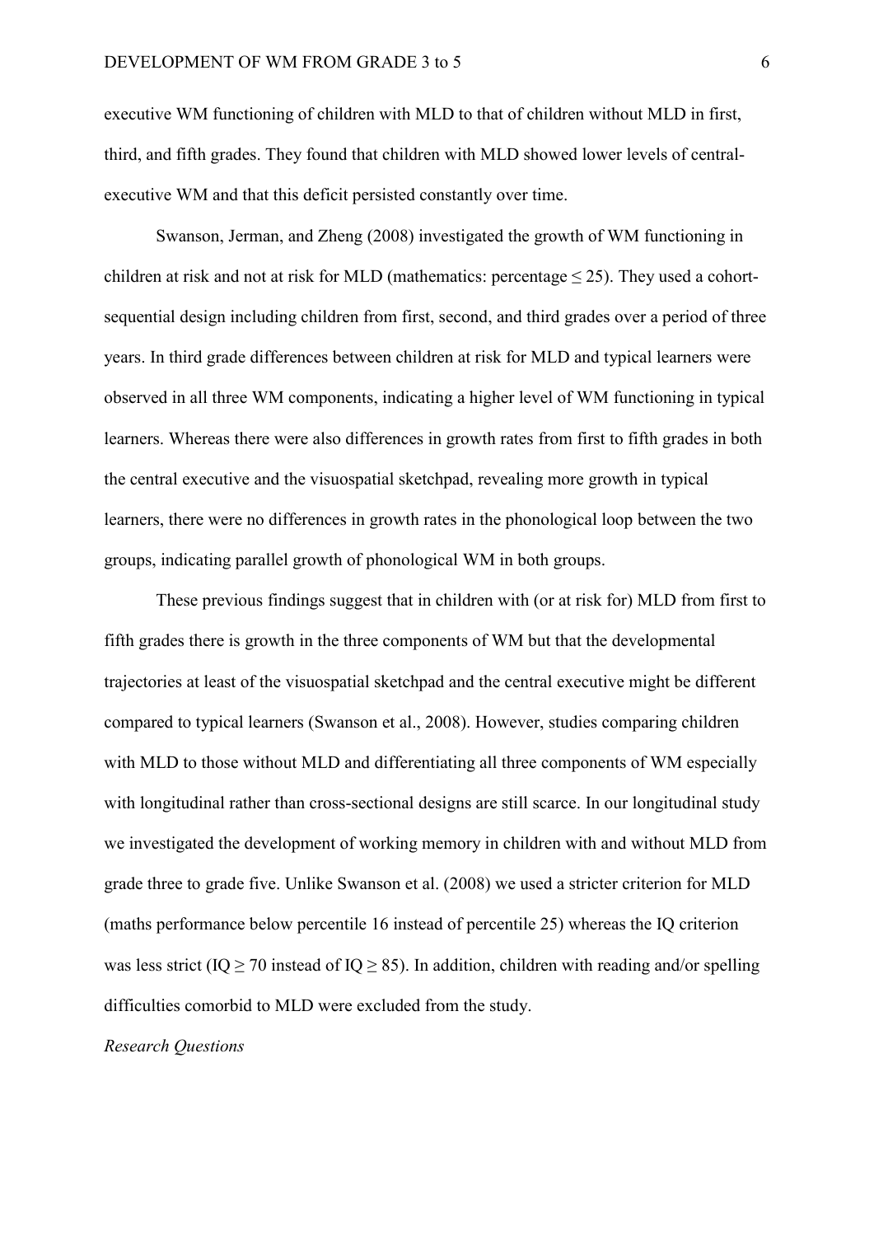executive WM functioning of children with MLD to that of children without MLD in first, third, and fifth grades. They found that children with MLD showed lower levels of centralexecutive WM and that this deficit persisted constantly over time.

Swanson, Jerman, and Zheng (2008) investigated the growth of WM functioning in children at risk and not at risk for MLD (mathematics: percentage  $\leq$  25). They used a cohortsequential design including children from first, second, and third grades over a period of three years. In third grade differences between children at risk for MLD and typical learners were observed in all three WM components, indicating a higher level of WM functioning in typical learners. Whereas there were also differences in growth rates from first to fifth grades in both the central executive and the visuospatial sketchpad, revealing more growth in typical learners, there were no differences in growth rates in the phonological loop between the two groups, indicating parallel growth of phonological WM in both groups.

These previous findings suggest that in children with (or at risk for) MLD from first to fifth grades there is growth in the three components of WM but that the developmental trajectories at least of the visuospatial sketchpad and the central executive might be different compared to typical learners (Swanson et al., 2008). However, studies comparing children with MLD to those without MLD and differentiating all three components of WM especially with longitudinal rather than cross-sectional designs are still scarce. In our longitudinal study we investigated the development of working memory in children with and without MLD from grade three to grade five. Unlike Swanson et al. (2008) we used a stricter criterion for MLD (maths performance below percentile 16 instead of percentile 25) whereas the IQ criterion was less strict (IQ  $\geq$  70 instead of IQ  $\geq$  85). In addition, children with reading and/or spelling difficulties comorbid to MLD were excluded from the study.

#### *Research Questions*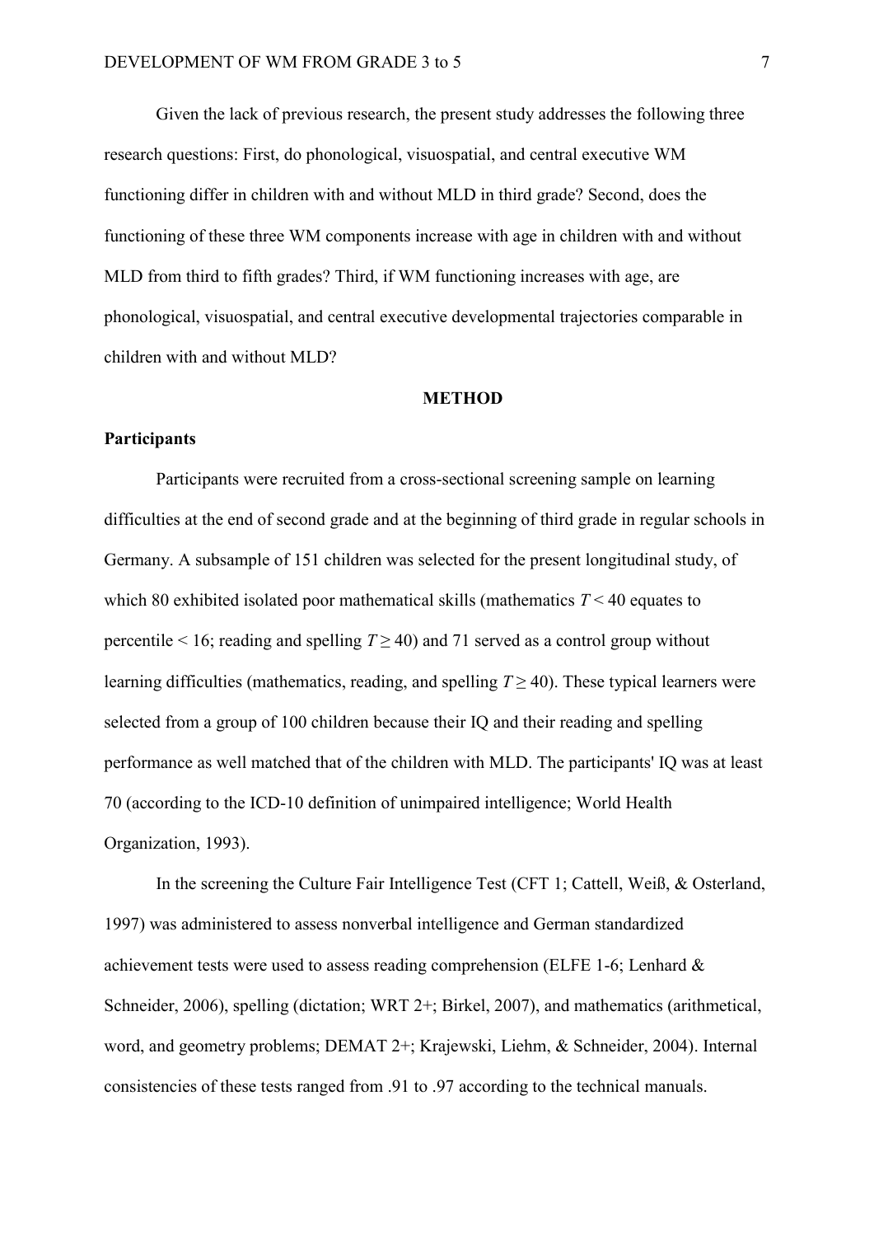Given the lack of previous research, the present study addresses the following three research questions: First, do phonological, visuospatial, and central executive WM functioning differ in children with and without MLD in third grade? Second, does the functioning of these three WM components increase with age in children with and without MLD from third to fifth grades? Third, if WM functioning increases with age, are phonological, visuospatial, and central executive developmental trajectories comparable in children with and without MLD?

#### **METHOD**

#### **Participants**

Participants were recruited from a cross-sectional screening sample on learning difficulties at the end of second grade and at the beginning of third grade in regular schools in Germany. A subsample of 151 children was selected for the present longitudinal study, of which 80 exhibited isolated poor mathematical skills (mathematics *T* < 40 equates to percentile < 16; reading and spelling  $T \ge 40$ ) and 71 served as a control group without learning difficulties (mathematics, reading, and spelling  $T \geq 40$ ). These typical learners were selected from a group of 100 children because their IQ and their reading and spelling performance as well matched that of the children with MLD. The participants' IQ was at least 70 (according to the ICD-10 definition of unimpaired intelligence; World Health Organization, 1993).

In the screening the Culture Fair Intelligence Test (CFT 1; Cattell, Weiß, & Osterland, 1997) was administered to assess nonverbal intelligence and German standardized achievement tests were used to assess reading comprehension (ELFE 1-6; Lenhard & Schneider, 2006), spelling (dictation; WRT 2+; Birkel, 2007), and mathematics (arithmetical, word, and geometry problems; DEMAT 2+; Krajewski, Liehm, & Schneider, 2004). Internal consistencies of these tests ranged from .91 to .97 according to the technical manuals.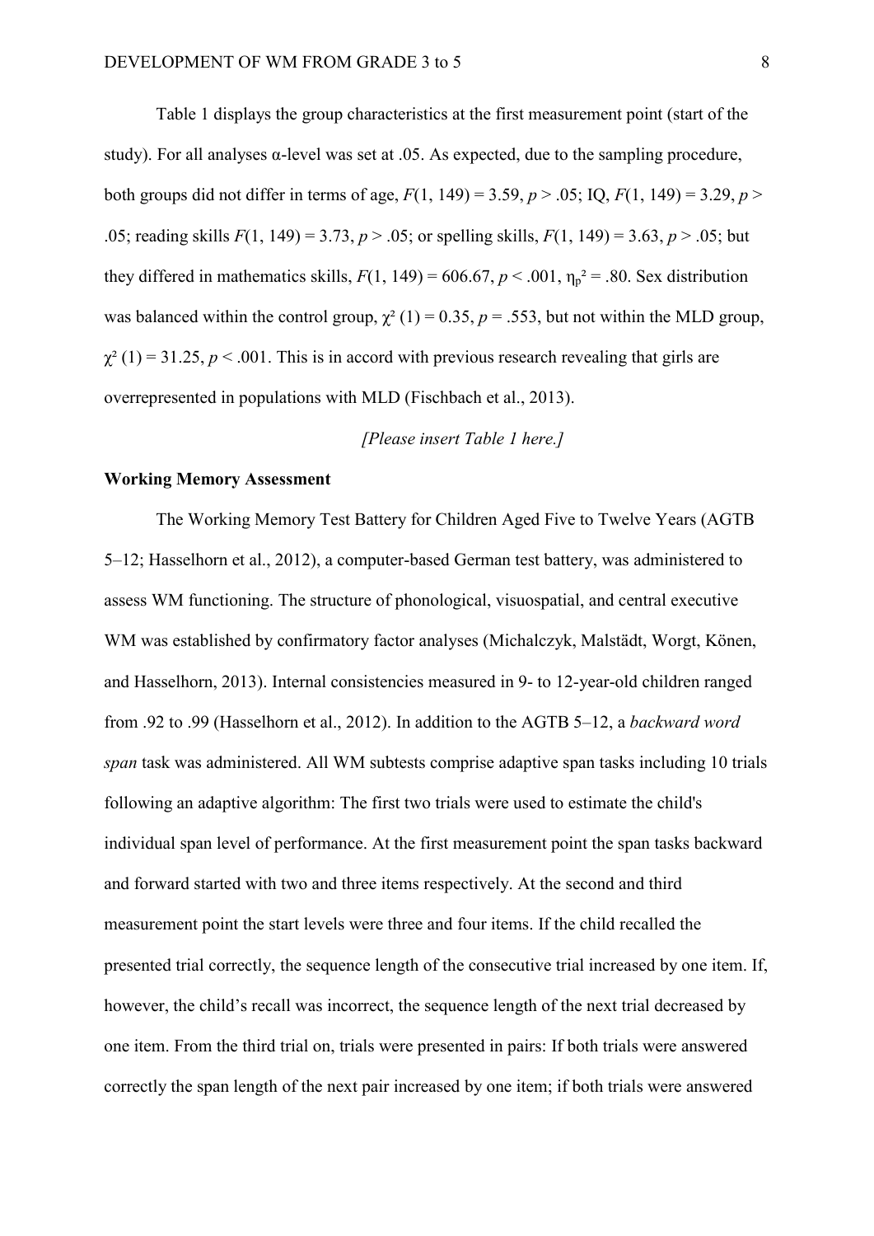Table 1 displays the group characteristics at the first measurement point (start of the study). For all analyses  $\alpha$ -level was set at .05. As expected, due to the sampling procedure, both groups did not differ in terms of age,  $F(1, 149) = 3.59$ ,  $p > .05$ ; IQ,  $F(1, 149) = 3.29$ ,  $p >$ .05; reading skills *F*(1, 149) = 3.73, *p* > .05; or spelling skills, *F*(1, 149) = 3.63, *p* > .05; but they differed in mathematics skills,  $F(1, 149) = 606.67$ ,  $p < .001$ ,  $\eta_p^2 = .80$ . Sex distribution was balanced within the control group,  $\chi^2(1) = 0.35$ ,  $p = .553$ , but not within the MLD group,  $\chi^2$  (1) = 31.25, *p* < .001. This is in accord with previous research revealing that girls are overrepresented in populations with MLD (Fischbach et al., 2013).

#### *[Please insert Table 1 here.]*

#### **Working Memory Assessment**

The Working Memory Test Battery for Children Aged Five to Twelve Years (AGTB 5–12; Hasselhorn et al., 2012), a computer-based German test battery, was administered to assess WM functioning. The structure of phonological, visuospatial, and central executive WM was established by confirmatory factor analyses (Michalczyk, Malstädt, Worgt, Könen, and Hasselhorn, 2013). Internal consistencies measured in 9- to 12-year-old children ranged from .92 to .99 (Hasselhorn et al., 2012). In addition to the AGTB 5–12, a *backward word span* task was administered. All WM subtests comprise adaptive span tasks including 10 trials following an adaptive algorithm: The first two trials were used to estimate the child's individual span level of performance. At the first measurement point the span tasks backward and forward started with two and three items respectively. At the second and third measurement point the start levels were three and four items. If the child recalled the presented trial correctly, the sequence length of the consecutive trial increased by one item. If, however, the child's recall was incorrect, the sequence length of the next trial decreased by one item. From the third trial on, trials were presented in pairs: If both trials were answered correctly the span length of the next pair increased by one item; if both trials were answered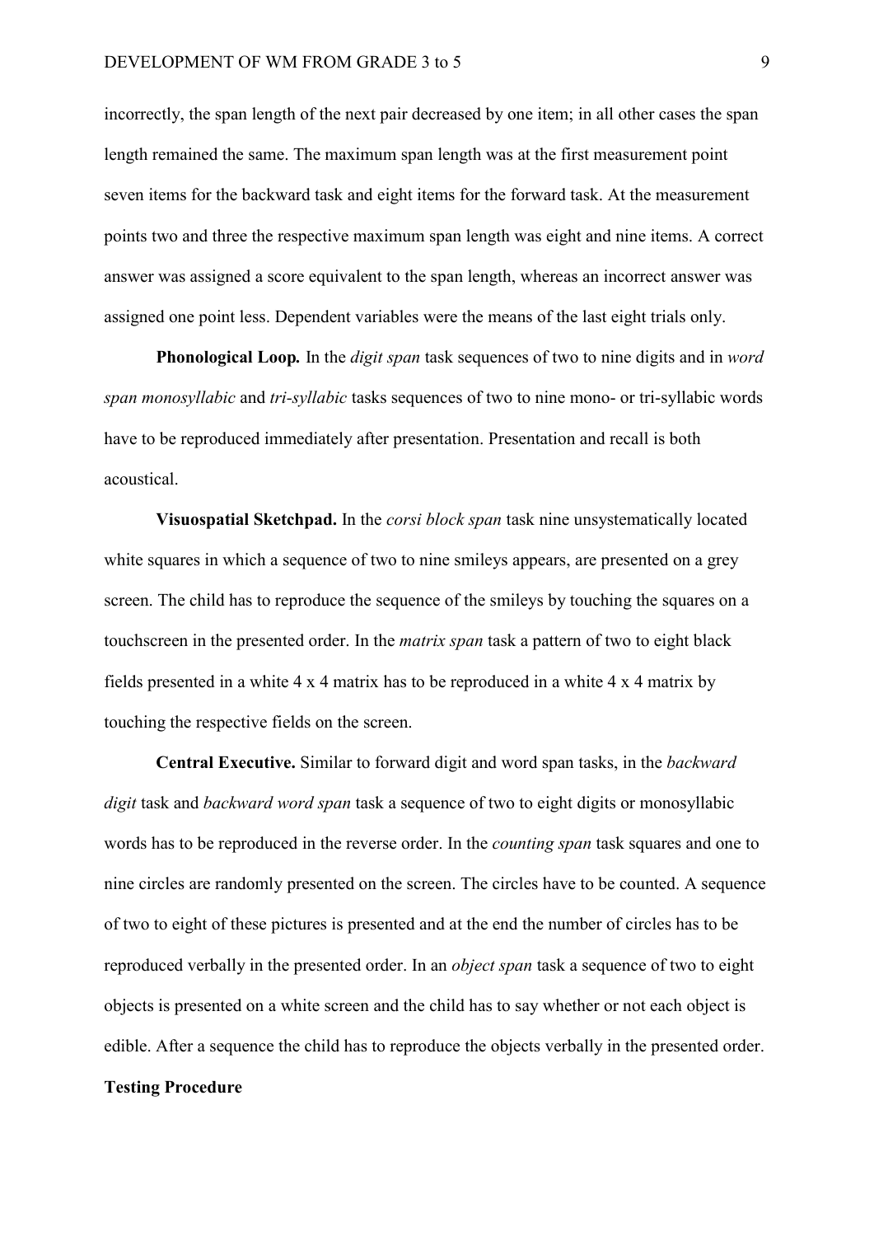incorrectly, the span length of the next pair decreased by one item; in all other cases the span length remained the same. The maximum span length was at the first measurement point seven items for the backward task and eight items for the forward task. At the measurement points two and three the respective maximum span length was eight and nine items. A correct answer was assigned a score equivalent to the span length, whereas an incorrect answer was assigned one point less. Dependent variables were the means of the last eight trials only.

**Phonological Loop***.* In the *digit span* task sequences of two to nine digits and in *word span monosyllabic* and *tri-syllabic* tasks sequences of two to nine mono- or tri-syllabic words have to be reproduced immediately after presentation. Presentation and recall is both acoustical.

**Visuospatial Sketchpad.** In the *corsi block span* task nine unsystematically located white squares in which a sequence of two to nine smileys appears, are presented on a grey screen. The child has to reproduce the sequence of the smileys by touching the squares on a touchscreen in the presented order. In the *matrix span* task a pattern of two to eight black fields presented in a white 4 x 4 matrix has to be reproduced in a white 4 x 4 matrix by touching the respective fields on the screen.

**Central Executive.** Similar to forward digit and word span tasks, in the *backward digit* task and *backward word span* task a sequence of two to eight digits or monosyllabic words has to be reproduced in the reverse order. In the *counting span* task squares and one to nine circles are randomly presented on the screen. The circles have to be counted. A sequence of two to eight of these pictures is presented and at the end the number of circles has to be reproduced verbally in the presented order. In an *object span* task a sequence of two to eight objects is presented on a white screen and the child has to say whether or not each object is edible. After a sequence the child has to reproduce the objects verbally in the presented order. **Testing Procedure**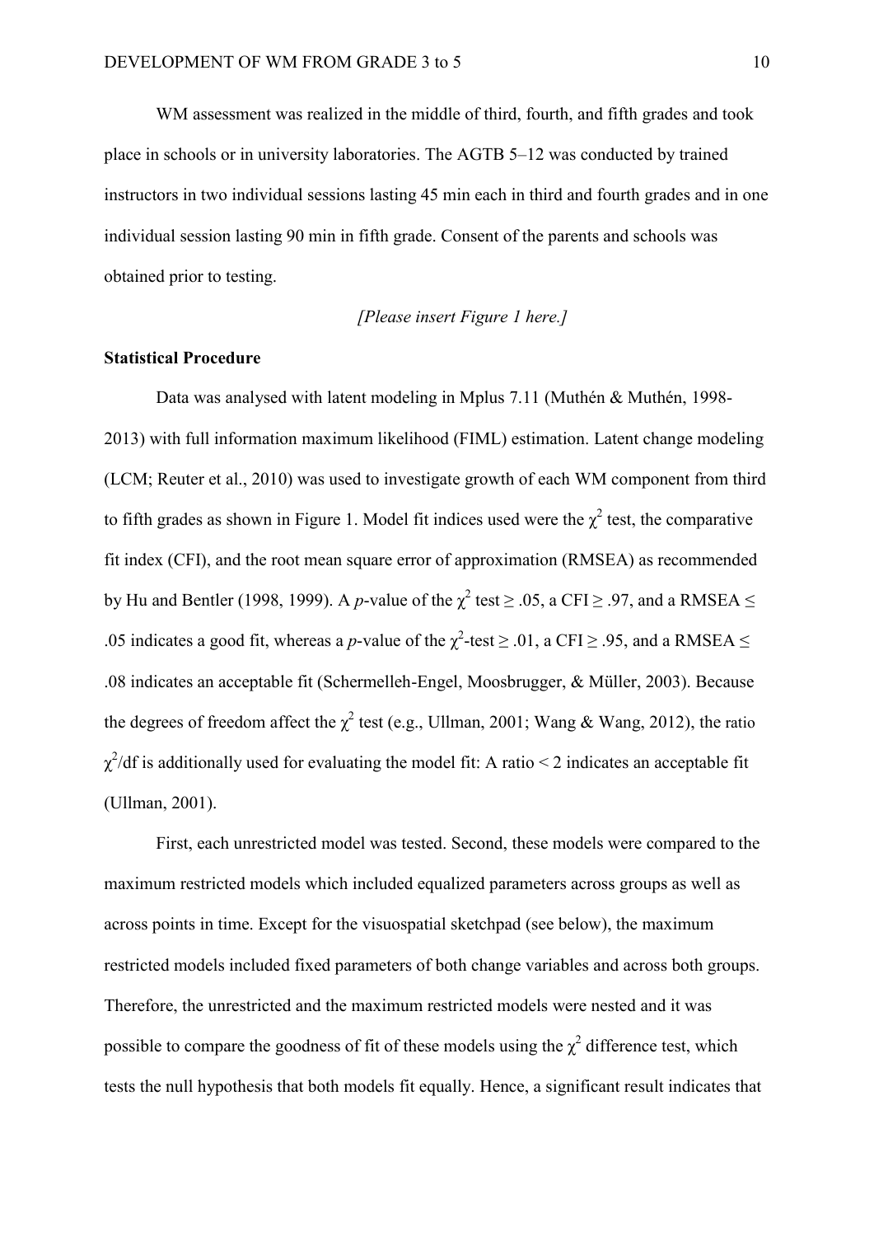WM assessment was realized in the middle of third, fourth, and fifth grades and took place in schools or in university laboratories. The AGTB 5–12 was conducted by trained instructors in two individual sessions lasting 45 min each in third and fourth grades and in one individual session lasting 90 min in fifth grade. Consent of the parents and schools was obtained prior to testing.

## *[Please insert Figure 1 here.]*

#### **Statistical Procedure**

Data was analysed with latent modeling in Mplus 7.11 (Muthén & Muthén, 1998- 2013) with full information maximum likelihood (FIML) estimation. Latent change modeling (LCM; Reuter et al., 2010) was used to investigate growth of each WM component from third to fifth grades as shown in Figure 1. Model fit indices used were the  $\chi^2$  test, the comparative fit index (CFI), and the root mean square error of approximation (RMSEA) as recommended by Hu and Bentler (1998, 1999). A *p*-value of the  $\chi^2$  test  $\geq .05$ , a CFI  $\geq .97$ , and a RMSEA  $\leq$ .05 indicates a good fit, whereas a *p*-value of the  $\chi^2$ -test  $\geq$  .01, a CFI  $\geq$  .95, and a RMSEA  $\leq$ .08 indicates an acceptable fit (Schermelleh-Engel, Moosbrugger, & Müller, 2003). Because the degrees of freedom affect the  $\chi^2$  test (e.g., Ullman, 2001; Wang & Wang, 2012), the ratio  $\chi^2$ /df is additionally used for evaluating the model fit: A ratio < 2 indicates an acceptable fit (Ullman, 2001).

First, each unrestricted model was tested. Second, these models were compared to the maximum restricted models which included equalized parameters across groups as well as across points in time. Except for the visuospatial sketchpad (see below), the maximum restricted models included fixed parameters of both change variables and across both groups. Therefore, the unrestricted and the maximum restricted models were nested and it was possible to compare the goodness of fit of these models using the  $\chi^2$  difference test, which tests the null hypothesis that both models fit equally. Hence, a significant result indicates that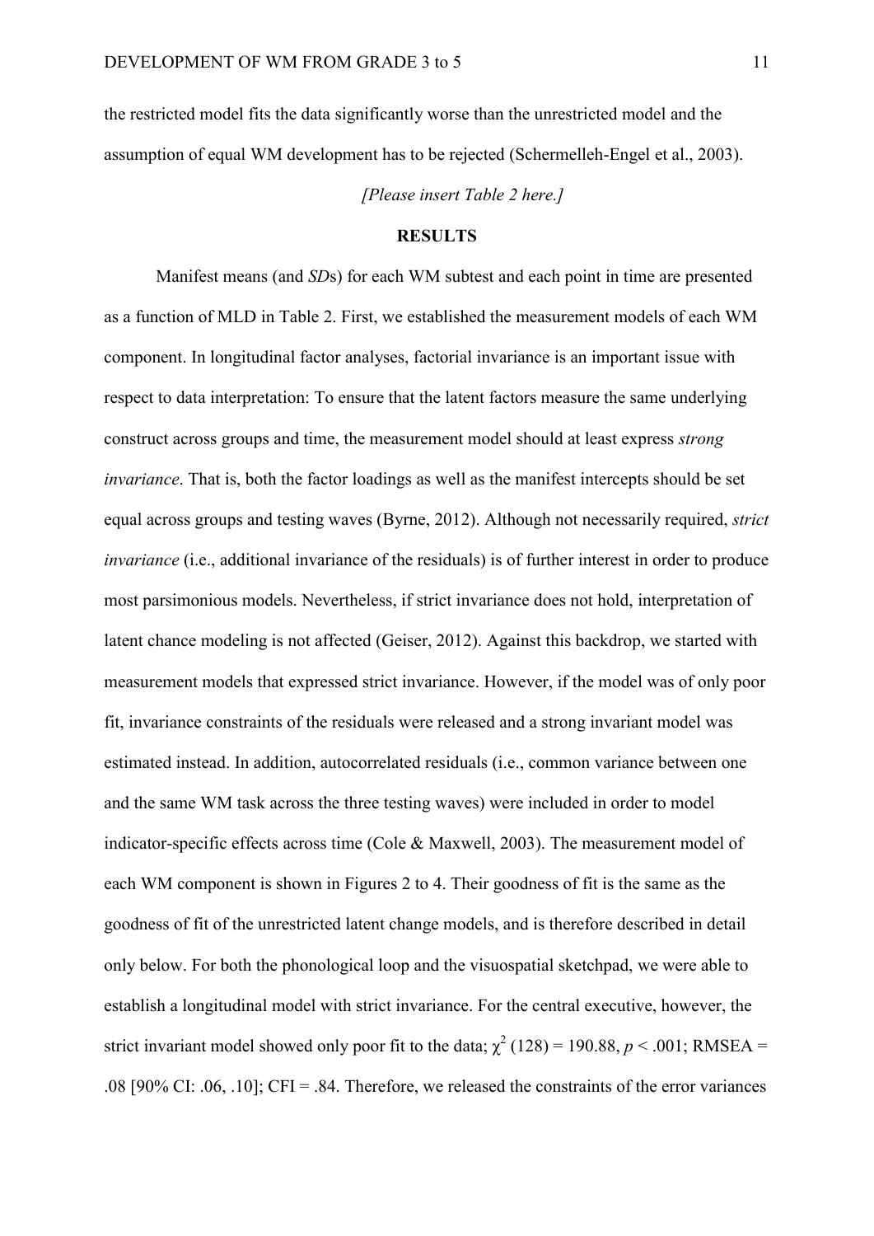the restricted model fits the data significantly worse than the unrestricted model and the assumption of equal WM development has to be rejected (Schermelleh-Engel et al., 2003).

*[Please insert Table 2 here.]*

#### **RESULTS**

Manifest means (and *SD*s) for each WM subtest and each point in time are presented as a function of MLD in Table 2. First, we established the measurement models of each WM component. In longitudinal factor analyses, factorial invariance is an important issue with respect to data interpretation: To ensure that the latent factors measure the same underlying construct across groups and time, the measurement model should at least express *strong invariance*. That is, both the factor loadings as well as the manifest intercepts should be set equal across groups and testing waves (Byrne, 2012). Although not necessarily required, *strict invariance* (i.e., additional invariance of the residuals) is of further interest in order to produce most parsimonious models. Nevertheless, if strict invariance does not hold, interpretation of latent chance modeling is not affected (Geiser, 2012). Against this backdrop, we started with measurement models that expressed strict invariance. However, if the model was of only poor fit, invariance constraints of the residuals were released and a strong invariant model was estimated instead. In addition, autocorrelated residuals (i.e., common variance between one and the same WM task across the three testing waves) were included in order to model indicator-specific effects across time (Cole & Maxwell, 2003). The measurement model of each WM component is shown in Figures 2 to 4. Their goodness of fit is the same as the goodness of fit of the unrestricted latent change models, and is therefore described in detail only below. For both the phonological loop and the visuospatial sketchpad, we were able to establish a longitudinal model with strict invariance. For the central executive, however, the strict invariant model showed only poor fit to the data;  $\chi^2$  (128) = 190.88, *p* < .001; RMSEA = .08 [90% CI: .06, .10]; CFI = .84. Therefore, we released the constraints of the error variances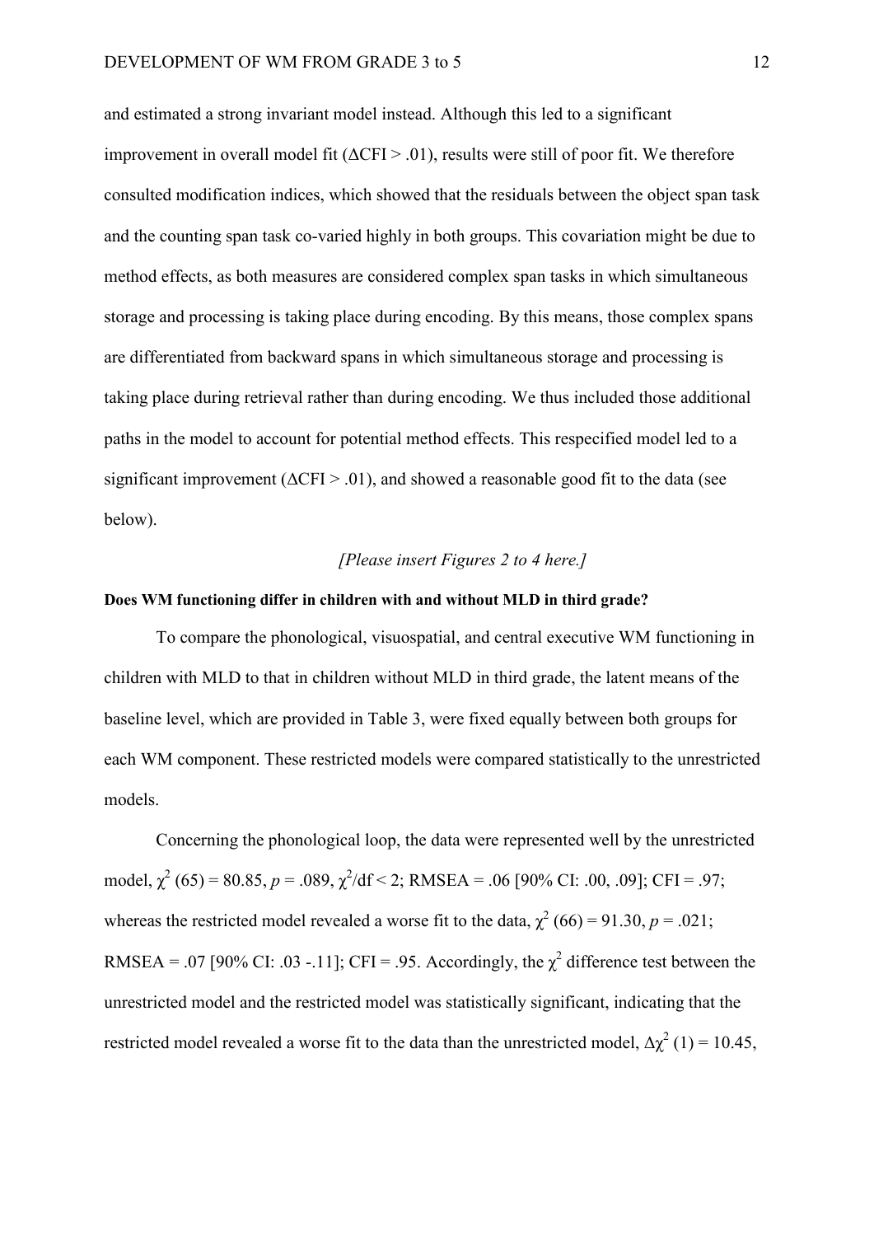and estimated a strong invariant model instead. Although this led to a significant improvement in overall model fit  $(\Delta CFI > .01)$ , results were still of poor fit. We therefore consulted modification indices, which showed that the residuals between the object span task and the counting span task co-varied highly in both groups. This covariation might be due to method effects, as both measures are considered complex span tasks in which simultaneous storage and processing is taking place during encoding. By this means, those complex spans are differentiated from backward spans in which simultaneous storage and processing is taking place during retrieval rather than during encoding. We thus included those additional paths in the model to account for potential method effects. This respecified model led to a significant improvement ( $\Delta$ CFI > .01), and showed a reasonable good fit to the data (see below).

#### *[Please insert Figures 2 to 4 here.]*

#### **Does WM functioning differ in children with and without MLD in third grade?**

To compare the phonological, visuospatial, and central executive WM functioning in children with MLD to that in children without MLD in third grade, the latent means of the baseline level, which are provided in Table 3, were fixed equally between both groups for each WM component. These restricted models were compared statistically to the unrestricted models.

Concerning the phonological loop, the data were represented well by the unrestricted model,  $\chi^2$  (65) = 80.85,  $p = .089$ ,  $\chi^2$ /df < 2; RMSEA = .06 [90% CI: .00, .09]; CFI = .97; whereas the restricted model revealed a worse fit to the data,  $\chi^2$  (66) = 91.30, *p* = .021; RMSEA = .07 [90% CI: .03 -.11]; CFI = .95. Accordingly, the  $\chi^2$  difference test between the unrestricted model and the restricted model was statistically significant, indicating that the restricted model revealed a worse fit to the data than the unrestricted model,  $\Delta \chi^2$  (1) = 10.45,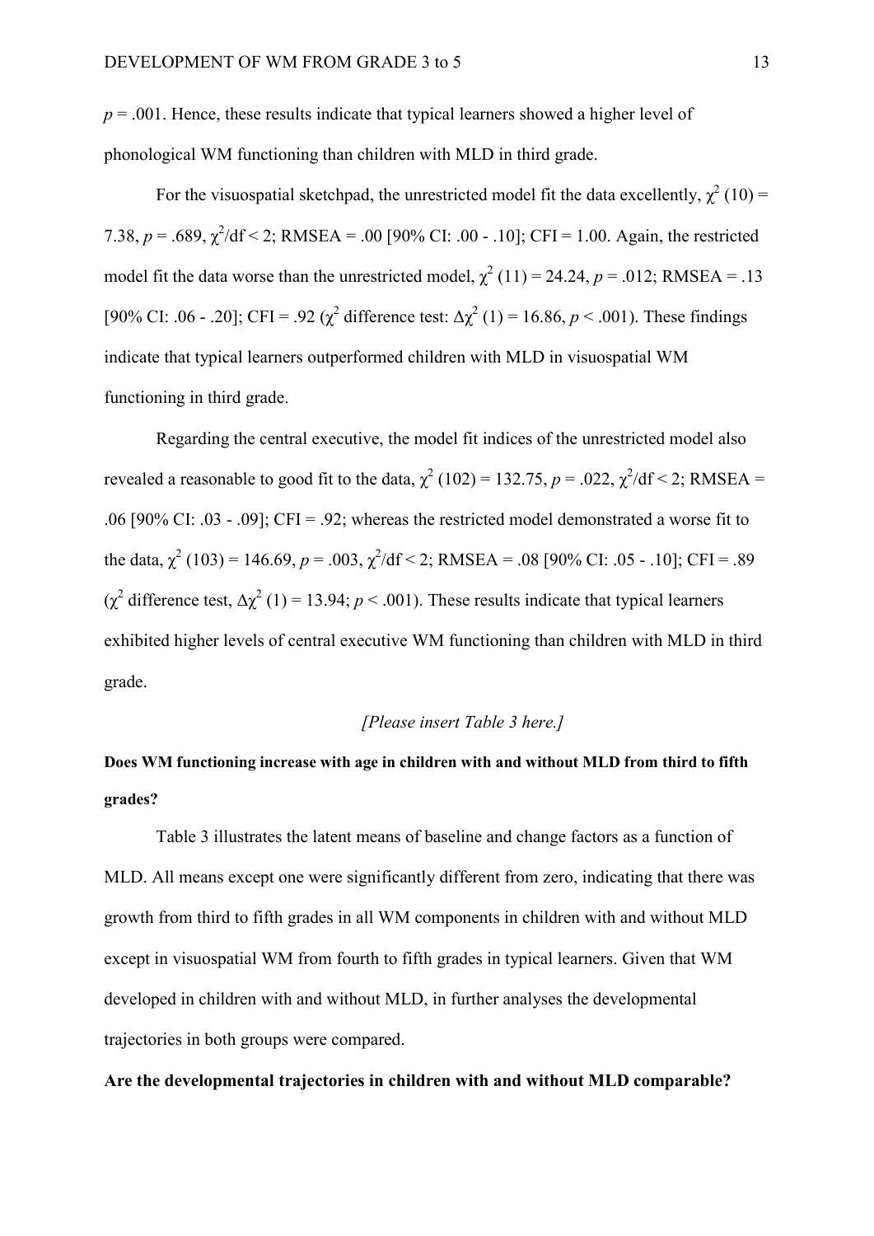$p = .001$ . Hence, these results indicate that typical learners showed a higher level of phonological WM functioning than children with MLD in third grade.

For the visuospatial sketchpad, the unrestricted model fit the data excellently,  $\chi^2(10)$  = 7.38,  $p = .689$ ,  $\chi^2$ /df < 2; RMSEA = .00 [90% CI: .00 - .10]; CFI = 1.00. Again, the restricted model fit the data worse than the unrestricted model,  $\chi^2(11) = 24.24$ ,  $p = .012$ ; RMSEA = .13 [90% CI: .06 - .20]; CFI = .92 ( $\chi^2$  difference test:  $\Delta \chi^2$  (1) = 16.86, *p* < .001). These findings indicate that typical learners outperformed children with MLD in visuospatial WM functioning in third grade.

Regarding the central executive, the model fit indices of the unrestricted model also revealed a reasonable to good fit to the data,  $\chi^2$  (102) = 132.75, *p* = .022,  $\chi^2$ /df < 2; RMSEA = .06 [90% CI: .03 - .09]; CFI = .92; whereas the restricted model demonstrated a worse fit to the data,  $\chi^2$  (103) = 146.69,  $p = .003$ ,  $\chi^2$ /df < 2; RMSEA = .08 [90% CI: .05 - .10]; CFI = .89 ( $\chi^2$  difference test,  $\Delta \chi^2$  (1) = 13.94; *p* < .001). These results indicate that typical learners exhibited higher levels of central executive WM functioning than children with MLD in third grade.

#### *[Please insert Table 3 here.]*

# **Does WM functioning increase with age in children with and without MLD from third to fifth grades?**

 Table 3 illustrates the latent means of baseline and change factors as a function of MLD. All means except one were significantly different from zero, indicating that there was growth from third to fifth grades in all WM components in children with and without MLD except in visuospatial WM from fourth to fifth grades in typical learners. Given that WM developed in children with and without MLD, in further analyses the developmental trajectories in both groups were compared.

#### **Are the developmental trajectories in children with and without MLD comparable?**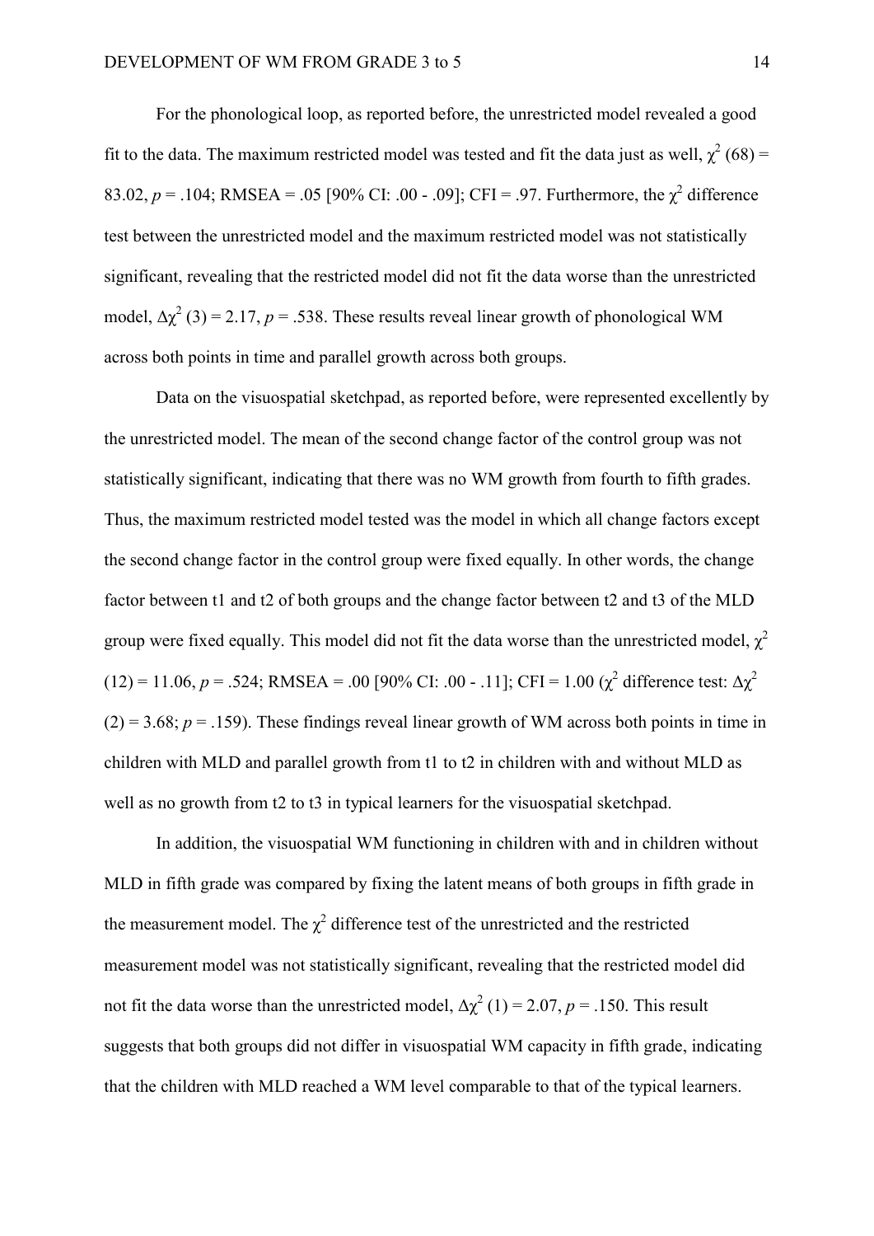For the phonological loop, as reported before, the unrestricted model revealed a good fit to the data. The maximum restricted model was tested and fit the data just as well,  $\chi^2$  (68) = 83.02,  $p = .104$ ; RMSEA = .05 [90% CI: .00 - .09]; CFI = .97. Furthermore, the  $\chi^2$  difference test between the unrestricted model and the maximum restricted model was not statistically significant, revealing that the restricted model did not fit the data worse than the unrestricted model,  $\Delta \chi^2$  (3) = 2.17, *p* = .538. These results reveal linear growth of phonological WM across both points in time and parallel growth across both groups.

Data on the visuospatial sketchpad, as reported before, were represented excellently by the unrestricted model. The mean of the second change factor of the control group was not statistically significant, indicating that there was no WM growth from fourth to fifth grades. Thus, the maximum restricted model tested was the model in which all change factors except the second change factor in the control group were fixed equally. In other words, the change factor between t1 and t2 of both groups and the change factor between t2 and t3 of the MLD group were fixed equally. This model did not fit the data worse than the unrestricted model,  $\gamma^2$ (12) = 11.06,  $p = .524$ ; RMSEA = .00 [90% CI: .00 - .11]; CFI = 1.00 ( $\chi^2$  difference test:  $\Delta \chi^2$  $(2) = 3.68$ ;  $p = .159$ ). These findings reveal linear growth of WM across both points in time in children with MLD and parallel growth from t1 to t2 in children with and without MLD as well as no growth from t2 to t3 in typical learners for the visuospatial sketchpad.

In addition, the visuospatial WM functioning in children with and in children without MLD in fifth grade was compared by fixing the latent means of both groups in fifth grade in the measurement model. The  $\chi^2$  difference test of the unrestricted and the restricted measurement model was not statistically significant, revealing that the restricted model did not fit the data worse than the unrestricted model,  $\Delta \chi^2$  (1) = 2.07, *p* = .150. This result suggests that both groups did not differ in visuospatial WM capacity in fifth grade, indicating that the children with MLD reached a WM level comparable to that of the typical learners.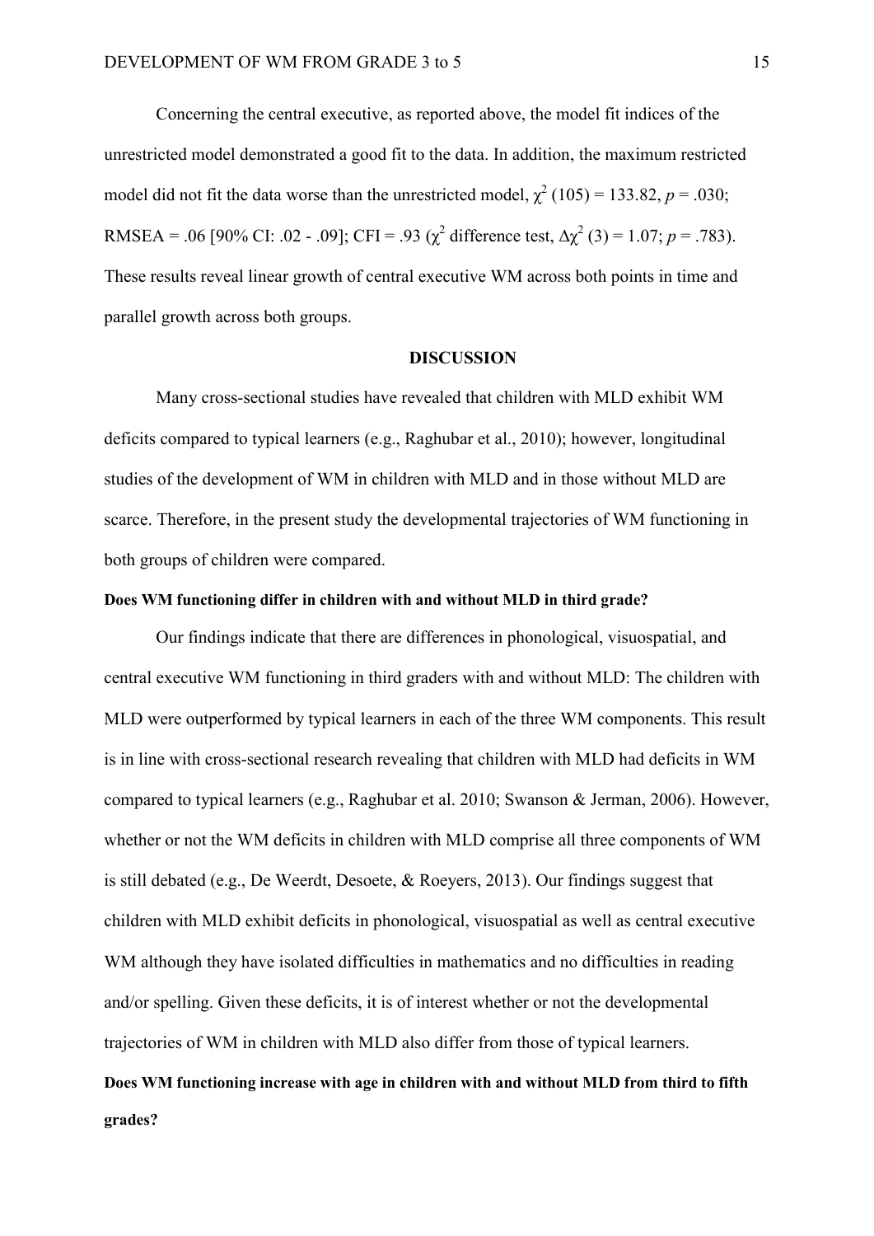Concerning the central executive, as reported above, the model fit indices of the unrestricted model demonstrated a good fit to the data. In addition, the maximum restricted model did not fit the data worse than the unrestricted model,  $\chi^2$  (105) = 133.82, *p* = .030; RMSEA = .06 [90% CI: .02 - .09]; CFI = .93 ( $\chi^2$  difference test,  $\Delta \chi^2$  (3) = 1.07; *p* = .783). These results reveal linear growth of central executive WM across both points in time and parallel growth across both groups.

#### **DISCUSSION**

Many cross-sectional studies have revealed that children with MLD exhibit WM deficits compared to typical learners (e.g., Raghubar et al., 2010); however, longitudinal studies of the development of WM in children with MLD and in those without MLD are scarce. Therefore, in the present study the developmental trajectories of WM functioning in both groups of children were compared.

#### **Does WM functioning differ in children with and without MLD in third grade?**

Our findings indicate that there are differences in phonological, visuospatial, and central executive WM functioning in third graders with and without MLD: The children with MLD were outperformed by typical learners in each of the three WM components. This result is in line with cross-sectional research revealing that children with MLD had deficits in WM compared to typical learners (e.g., Raghubar et al. 2010; Swanson & Jerman, 2006). However, whether or not the WM deficits in children with MLD comprise all three components of WM is still debated (e.g., De Weerdt, Desoete, & Roeyers, 2013). Our findings suggest that children with MLD exhibit deficits in phonological, visuospatial as well as central executive WM although they have isolated difficulties in mathematics and no difficulties in reading and/or spelling. Given these deficits, it is of interest whether or not the developmental trajectories of WM in children with MLD also differ from those of typical learners. **Does WM functioning increase with age in children with and without MLD from third to fifth** 

#### **grades?**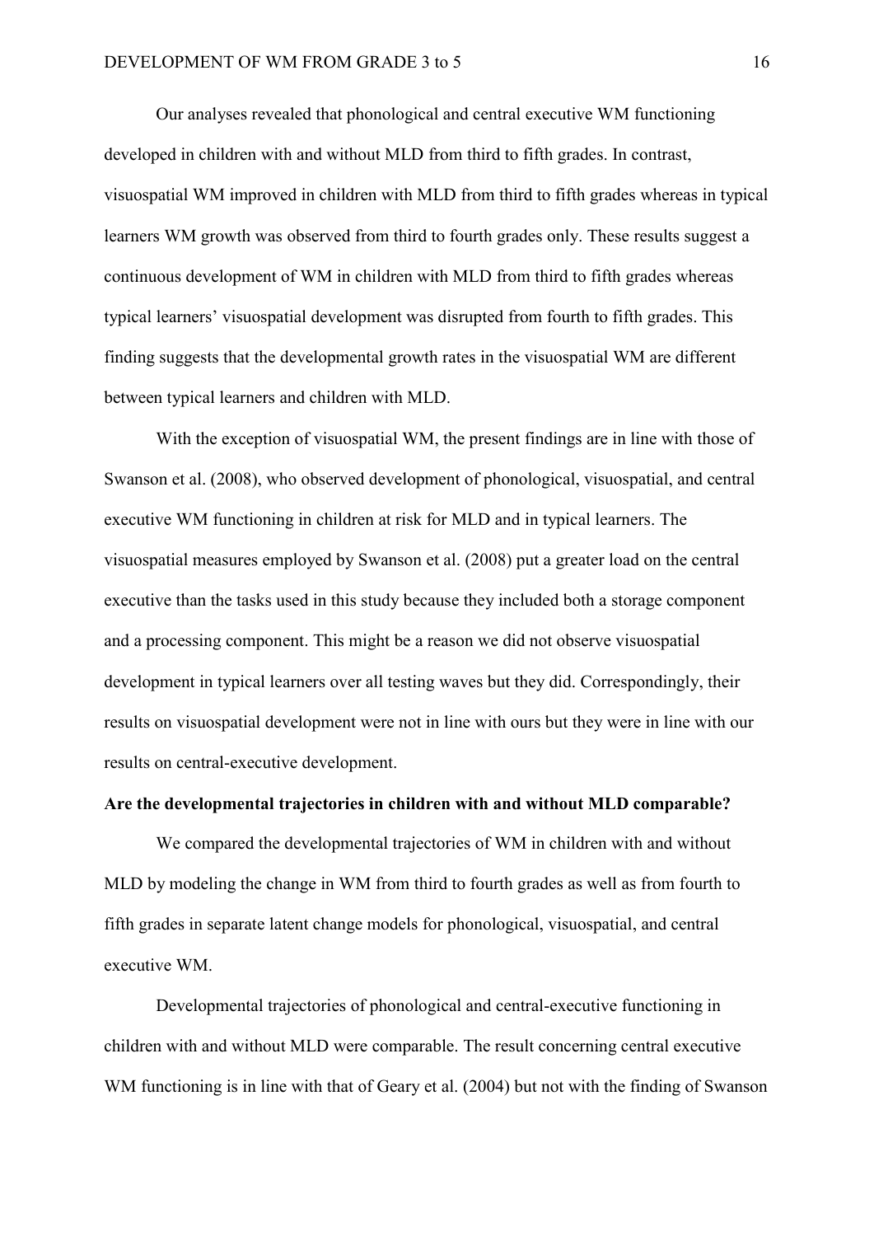Our analyses revealed that phonological and central executive WM functioning developed in children with and without MLD from third to fifth grades. In contrast, visuospatial WM improved in children with MLD from third to fifth grades whereas in typical learners WM growth was observed from third to fourth grades only. These results suggest a continuous development of WM in children with MLD from third to fifth grades whereas typical learners' visuospatial development was disrupted from fourth to fifth grades. This finding suggests that the developmental growth rates in the visuospatial WM are different between typical learners and children with MLD.

With the exception of visuospatial WM, the present findings are in line with those of Swanson et al. (2008), who observed development of phonological, visuospatial, and central executive WM functioning in children at risk for MLD and in typical learners. The visuospatial measures employed by Swanson et al. (2008) put a greater load on the central executive than the tasks used in this study because they included both a storage component and a processing component. This might be a reason we did not observe visuospatial development in typical learners over all testing waves but they did. Correspondingly, their results on visuospatial development were not in line with ours but they were in line with our results on central-executive development.

#### **Are the developmental trajectories in children with and without MLD comparable?**

We compared the developmental trajectories of WM in children with and without MLD by modeling the change in WM from third to fourth grades as well as from fourth to fifth grades in separate latent change models for phonological, visuospatial, and central executive WM.

Developmental trajectories of phonological and central-executive functioning in children with and without MLD were comparable. The result concerning central executive WM functioning is in line with that of Geary et al. (2004) but not with the finding of Swanson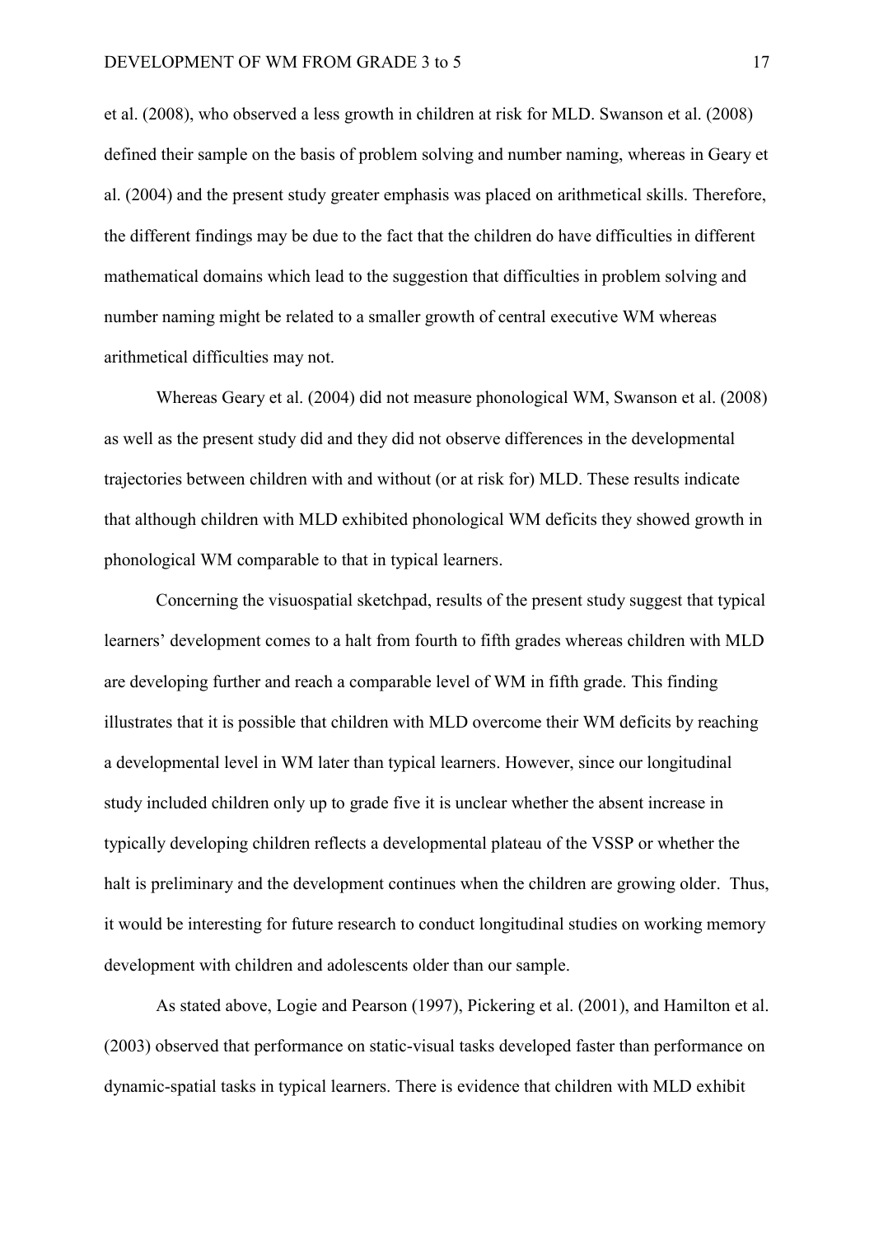et al. (2008), who observed a less growth in children at risk for MLD. Swanson et al. (2008) defined their sample on the basis of problem solving and number naming, whereas in Geary et al. (2004) and the present study greater emphasis was placed on arithmetical skills. Therefore, the different findings may be due to the fact that the children do have difficulties in different mathematical domains which lead to the suggestion that difficulties in problem solving and number naming might be related to a smaller growth of central executive WM whereas arithmetical difficulties may not.

Whereas Geary et al. (2004) did not measure phonological WM, Swanson et al. (2008) as well as the present study did and they did not observe differences in the developmental trajectories between children with and without (or at risk for) MLD. These results indicate that although children with MLD exhibited phonological WM deficits they showed growth in phonological WM comparable to that in typical learners.

Concerning the visuospatial sketchpad, results of the present study suggest that typical learners' development comes to a halt from fourth to fifth grades whereas children with MLD are developing further and reach a comparable level of WM in fifth grade. This finding illustrates that it is possible that children with MLD overcome their WM deficits by reaching a developmental level in WM later than typical learners. However, since our longitudinal study included children only up to grade five it is unclear whether the absent increase in typically developing children reflects a developmental plateau of the VSSP or whether the halt is preliminary and the development continues when the children are growing older. Thus, it would be interesting for future research to conduct longitudinal studies on working memory development with children and adolescents older than our sample.

As stated above, Logie and Pearson (1997), Pickering et al. (2001), and Hamilton et al. (2003) observed that performance on static-visual tasks developed faster than performance on dynamic-spatial tasks in typical learners. There is evidence that children with MLD exhibit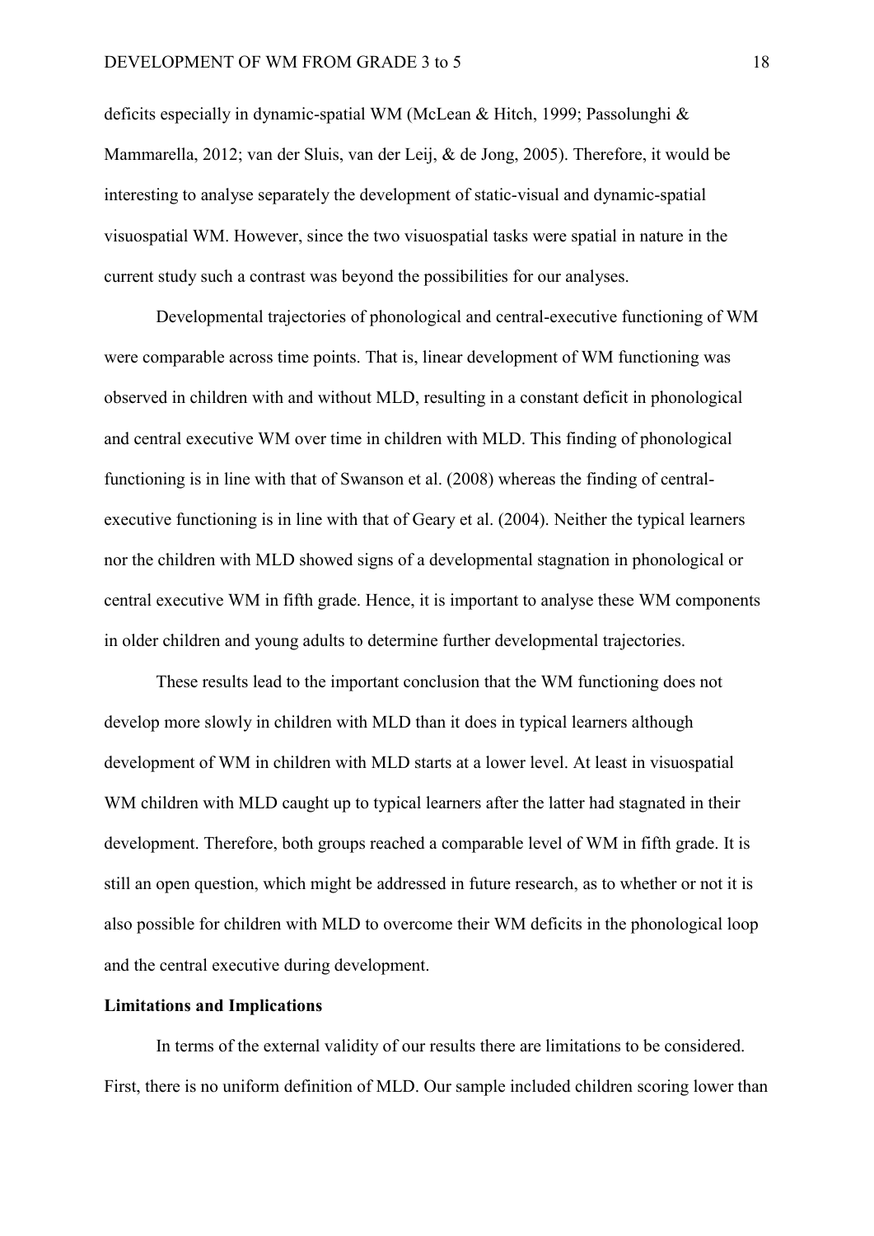deficits especially in dynamic-spatial WM (McLean & Hitch, 1999; Passolunghi & Mammarella, 2012; van der Sluis, van der Leij, & de Jong, 2005). Therefore, it would be interesting to analyse separately the development of static-visual and dynamic-spatial visuospatial WM. However, since the two visuospatial tasks were spatial in nature in the current study such a contrast was beyond the possibilities for our analyses.

Developmental trajectories of phonological and central-executive functioning of WM were comparable across time points. That is, linear development of WM functioning was observed in children with and without MLD, resulting in a constant deficit in phonological and central executive WM over time in children with MLD. This finding of phonological functioning is in line with that of Swanson et al. (2008) whereas the finding of centralexecutive functioning is in line with that of Geary et al. (2004). Neither the typical learners nor the children with MLD showed signs of a developmental stagnation in phonological or central executive WM in fifth grade. Hence, it is important to analyse these WM components in older children and young adults to determine further developmental trajectories.

These results lead to the important conclusion that the WM functioning does not develop more slowly in children with MLD than it does in typical learners although development of WM in children with MLD starts at a lower level. At least in visuospatial WM children with MLD caught up to typical learners after the latter had stagnated in their development. Therefore, both groups reached a comparable level of WM in fifth grade. It is still an open question, which might be addressed in future research, as to whether or not it is also possible for children with MLD to overcome their WM deficits in the phonological loop and the central executive during development.

#### **Limitations and Implications**

In terms of the external validity of our results there are limitations to be considered. First, there is no uniform definition of MLD. Our sample included children scoring lower than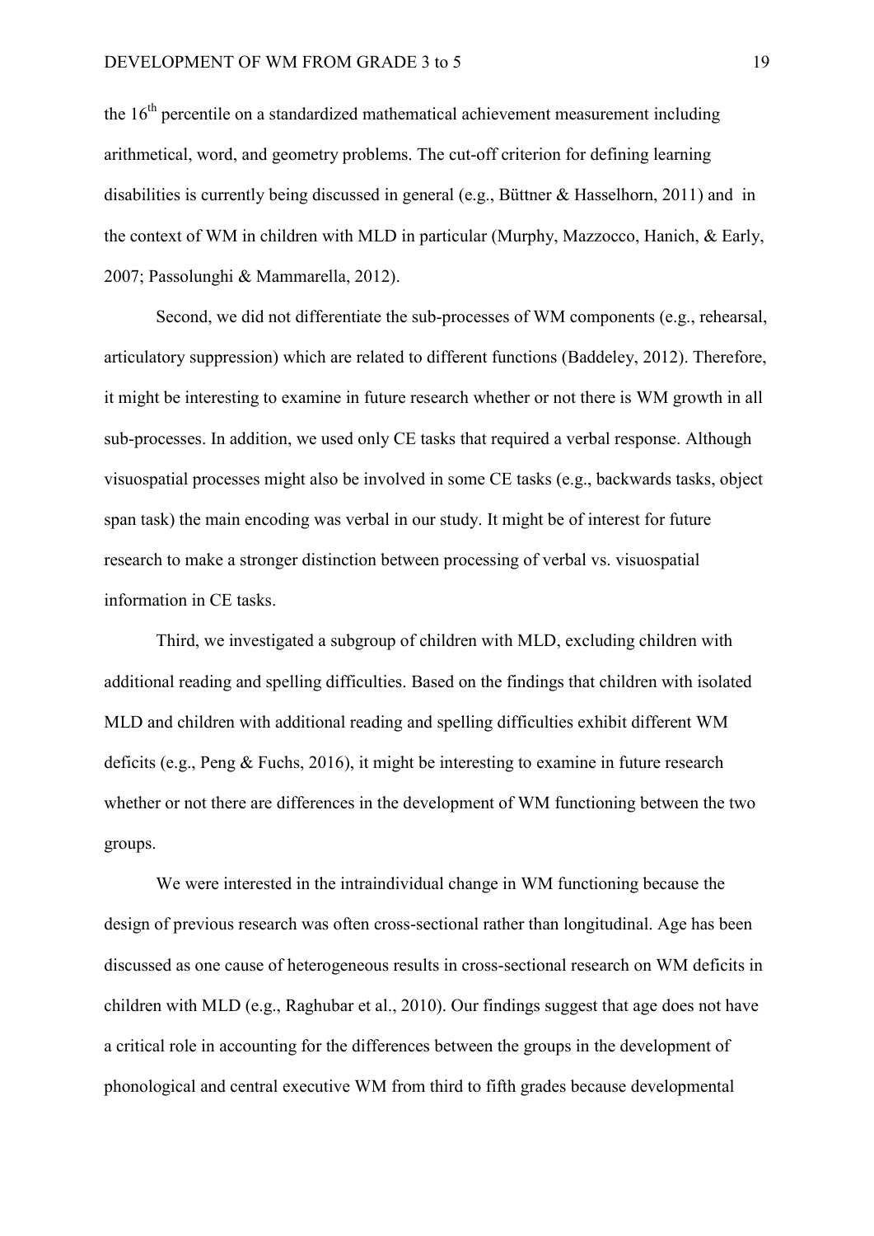the  $16<sup>th</sup>$  percentile on a standardized mathematical achievement measurement including arithmetical, word, and geometry problems. The cut-off criterion for defining learning disabilities is currently being discussed in general (e.g., Büttner & Hasselhorn, 2011) and in the context of WM in children with MLD in particular (Murphy, Mazzocco, Hanich, & Early, 2007; Passolunghi & Mammarella, 2012).

Second, we did not differentiate the sub-processes of WM components (e.g., rehearsal, articulatory suppression) which are related to different functions (Baddeley, 2012). Therefore, it might be interesting to examine in future research whether or not there is WM growth in all sub-processes. In addition, we used only CE tasks that required a verbal response. Although visuospatial processes might also be involved in some CE tasks (e.g., backwards tasks, object span task) the main encoding was verbal in our study. It might be of interest for future research to make a stronger distinction between processing of verbal vs. visuospatial information in CE tasks.

Third, we investigated a subgroup of children with MLD, excluding children with additional reading and spelling difficulties. Based on the findings that children with isolated MLD and children with additional reading and spelling difficulties exhibit different WM deficits (e.g., Peng & Fuchs, 2016), it might be interesting to examine in future research whether or not there are differences in the development of WM functioning between the two groups.

We were interested in the intraindividual change in WM functioning because the design of previous research was often cross-sectional rather than longitudinal. Age has been discussed as one cause of heterogeneous results in cross-sectional research on WM deficits in children with MLD (e.g., Raghubar et al., 2010). Our findings suggest that age does not have a critical role in accounting for the differences between the groups in the development of phonological and central executive WM from third to fifth grades because developmental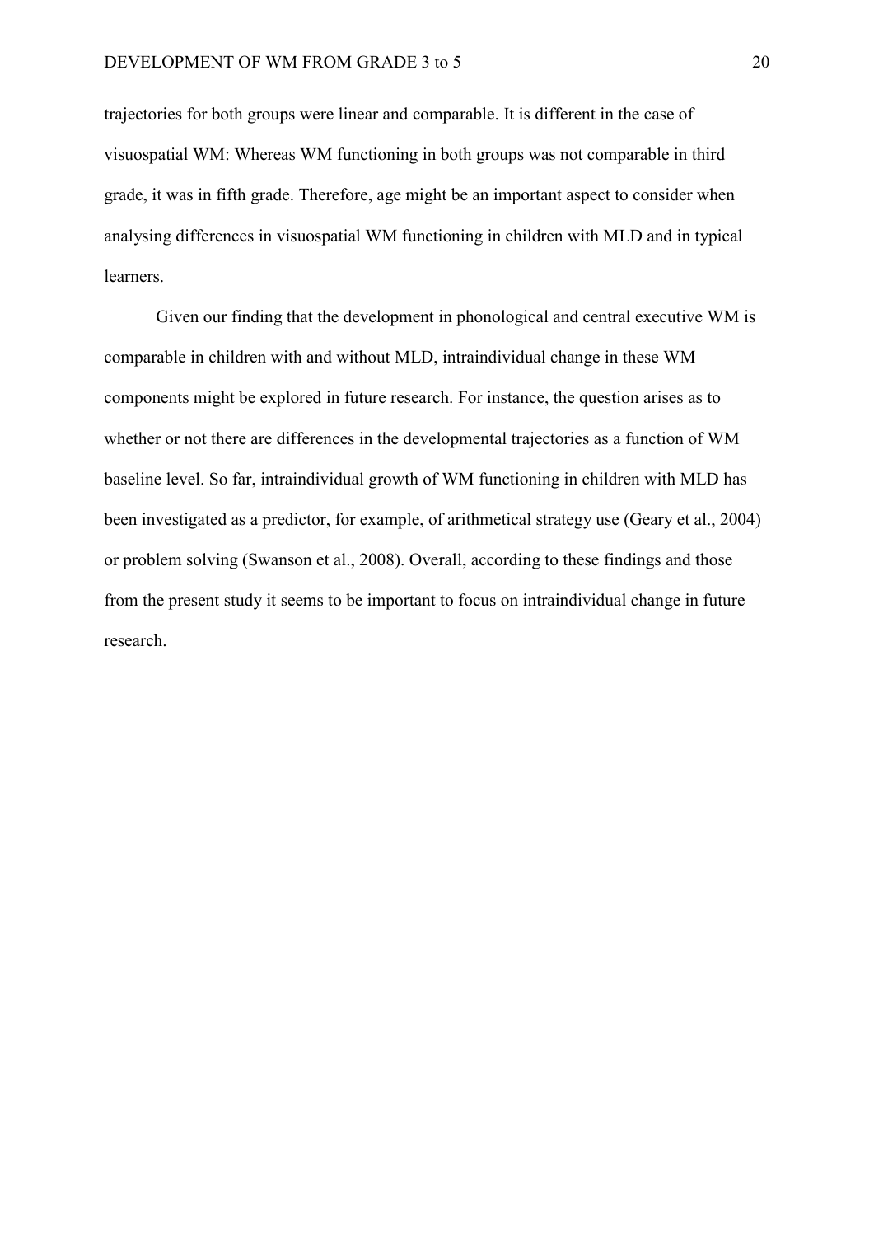trajectories for both groups were linear and comparable. It is different in the case of visuospatial WM: Whereas WM functioning in both groups was not comparable in third grade, it was in fifth grade. Therefore, age might be an important aspect to consider when analysing differences in visuospatial WM functioning in children with MLD and in typical learners.

Given our finding that the development in phonological and central executive WM is comparable in children with and without MLD, intraindividual change in these WM components might be explored in future research. For instance, the question arises as to whether or not there are differences in the developmental trajectories as a function of WM baseline level. So far, intraindividual growth of WM functioning in children with MLD has been investigated as a predictor, for example, of arithmetical strategy use (Geary et al., 2004) or problem solving (Swanson et al., 2008). Overall, according to these findings and those from the present study it seems to be important to focus on intraindividual change in future research.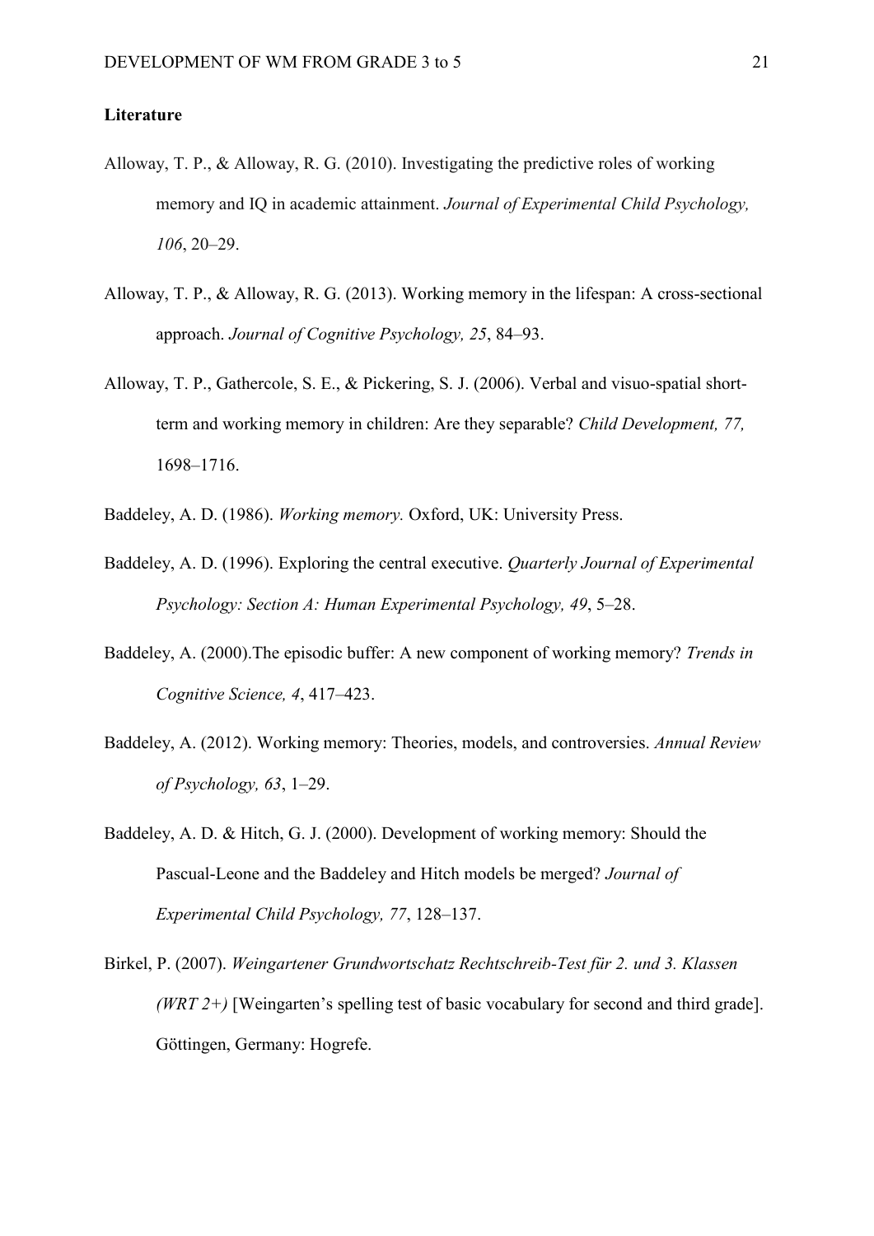#### **Literature**

- Alloway, T. P., & Alloway, R. G. (2010). Investigating the predictive roles of working memory and IQ in academic attainment. *Journal of Experimental Child Psychology, 106*, 20–29.
- Alloway, T. P., & Alloway, R. G. (2013). Working memory in the lifespan: A cross-sectional approach. *Journal of Cognitive Psychology, 25*, 84–93.
- Alloway, T. P., Gathercole, S. E., & Pickering, S. J. (2006). Verbal and visuo-spatial shortterm and working memory in children: Are they separable? *Child Development, 77,* 1698–1716.
- Baddeley, A. D. (1986). *Working memory.* Oxford, UK: University Press.
- Baddeley, A. D. (1996). Exploring the central executive. *Quarterly Journal of Experimental Psychology: Section A: Human Experimental Psychology, 49*, 5–28.
- Baddeley, A. (2000).The episodic buffer: A new component of working memory? *Trends in Cognitive Science, 4*, 417–423.
- Baddeley, A. (2012). Working memory: Theories, models, and controversies. *Annual Review of Psychology, 63*, 1–29.
- Baddeley, A. D. & Hitch, G. J. (2000). Development of working memory: Should the Pascual-Leone and the Baddeley and Hitch models be merged? *Journal of Experimental Child Psychology, 77*, 128–137.
- Birkel, P. (2007). *Weingartener Grundwortschatz Rechtschreib-Test für 2. und 3. Klassen (WRT 2+)* [Weingarten's spelling test of basic vocabulary for second and third grade]. Göttingen, Germany: Hogrefe.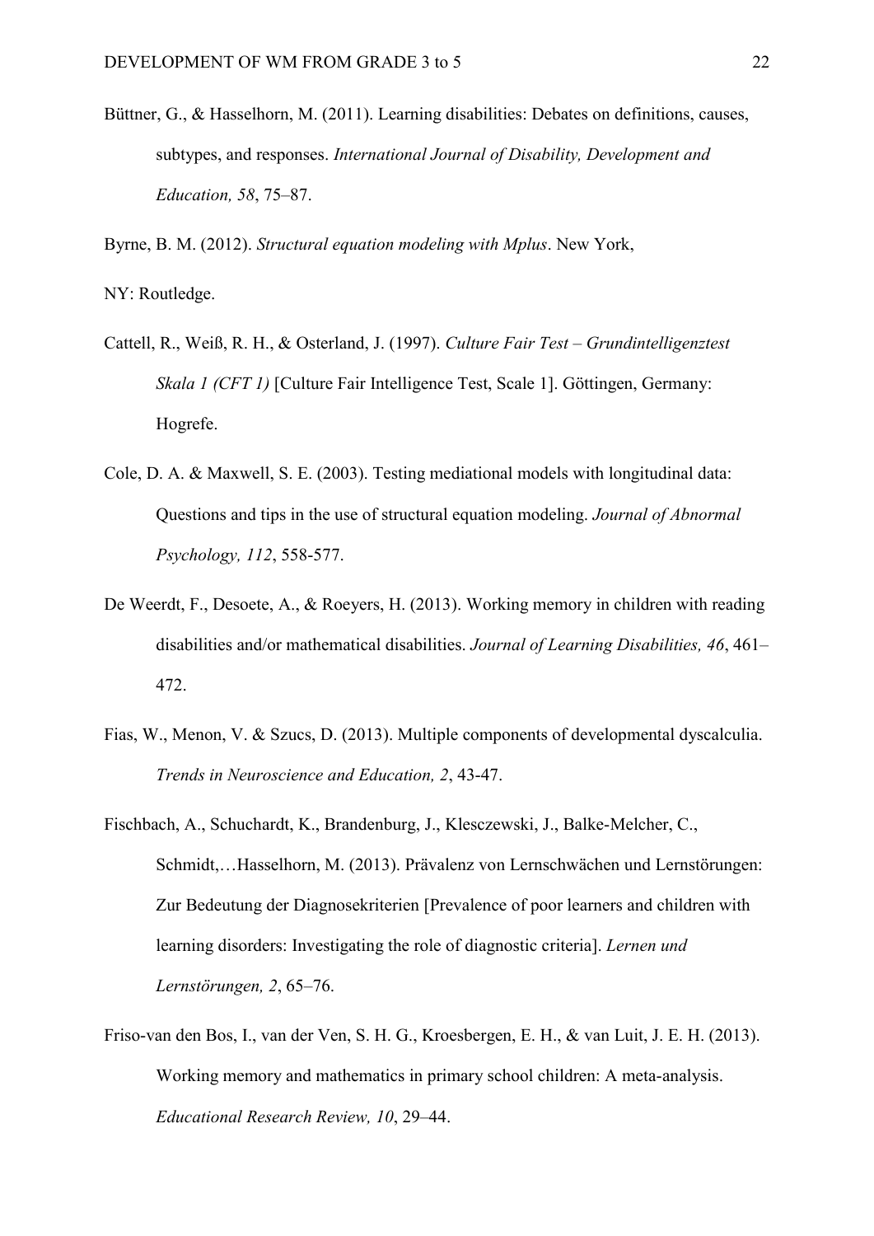Büttner, G., & Hasselhorn, M. (2011). Learning disabilities: Debates on definitions, causes, subtypes, and responses. *International Journal of Disability, Development and Education, 58*, 75–87.

Byrne, B. M. (2012). *Structural equation modeling with Mplus*. New York,

NY: Routledge.

- Cattell, R., Weiß, R. H., & Osterland, J. (1997). *Culture Fair Test Grundintelligenztest Skala 1 (CFT 1)* [Culture Fair Intelligence Test, Scale 1]. Göttingen, Germany: Hogrefe.
- Cole, D. A. & Maxwell, S. E. (2003). Testing mediational models with longitudinal data: Questions and tips in the use of structural equation modeling. *Journal of Abnormal Psychology, 112*, 558-577.
- De Weerdt, F., Desoete, A., & Roeyers, H. (2013). Working memory in children with reading disabilities and/or mathematical disabilities. *Journal of Learning Disabilities, 46*, 461– 472.
- Fias, W., Menon, V. & Szucs, D. (2013). Multiple components of developmental dyscalculia. *Trends in Neuroscience and Education, 2*, 43-47.
- Fischbach, A., Schuchardt, K., Brandenburg, J., Klesczewski, J., Balke-Melcher, C., Schmidt,…Hasselhorn, M. (2013). Prävalenz von Lernschwächen und Lernstörungen: Zur Bedeutung der Diagnosekriterien [Prevalence of poor learners and children with learning disorders: Investigating the role of diagnostic criteria]. *Lernen und Lernstörungen, 2*, 65–76.
- Friso-van den Bos, I., van der Ven, S. H. G., Kroesbergen, E. H., & van Luit, J. E. H. (2013). Working memory and mathematics in primary school children: A meta-analysis. *Educational Research Review, 10*, 29–44.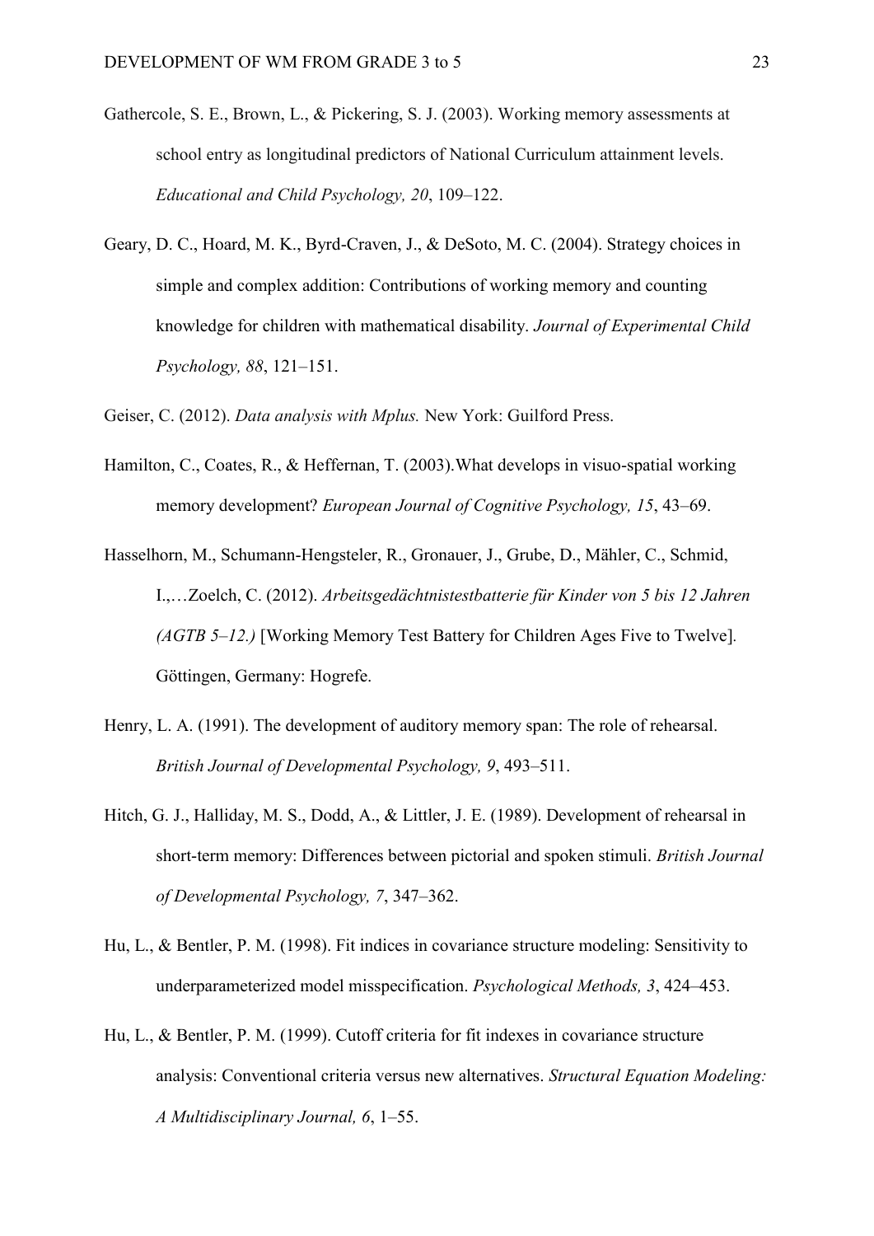- Gathercole, S. E., Brown, L., & Pickering, S. J. (2003). Working memory assessments at school entry as longitudinal predictors of National Curriculum attainment levels. *Educational and Child Psychology, 20*, 109–122.
- Geary, D. C., Hoard, M. K., Byrd-Craven, J., & DeSoto, M. C. (2004). Strategy choices in simple and complex addition: Contributions of working memory and counting knowledge for children with mathematical disability. *Journal of Experimental Child Psychology, 88*, 121–151.
- Geiser, C. (2012). *Data analysis with Mplus.* New York: Guilford Press.
- Hamilton, C., Coates, R., & Heffernan, T. (2003).What develops in visuo-spatial working memory development? *European Journal of Cognitive Psychology, 15*, 43–69.
- Hasselhorn, M., Schumann-Hengsteler, R., Gronauer, J., Grube, D., Mähler, C., Schmid, I.,…Zoelch, C. (2012). *Arbeitsgedächtnistestbatterie für Kinder von 5 bis 12 Jahren (AGTB 5*–*12.)* [Working Memory Test Battery for Children Ages Five to Twelve]*.*  Göttingen, Germany: Hogrefe.
- Henry, L. A. (1991). The development of auditory memory span: The role of rehearsal. *British Journal of Developmental Psychology, 9*, 493–511.
- Hitch, G. J., Halliday, M. S., Dodd, A., & Littler, J. E. (1989). Development of rehearsal in short-term memory: Differences between pictorial and spoken stimuli. *British Journal of Developmental Psychology, 7*, 347–362.
- Hu, L., & Bentler, P. M. (1998). Fit indices in covariance structure modeling: Sensitivity to underparameterized model misspecification. *Psychological Methods, 3*, 424–453.
- Hu, L., & Bentler, P. M. (1999). Cutoff criteria for fit indexes in covariance structure analysis: Conventional criteria versus new alternatives. *Structural Equation Modeling: A Multidisciplinary Journal, 6*, 1–55.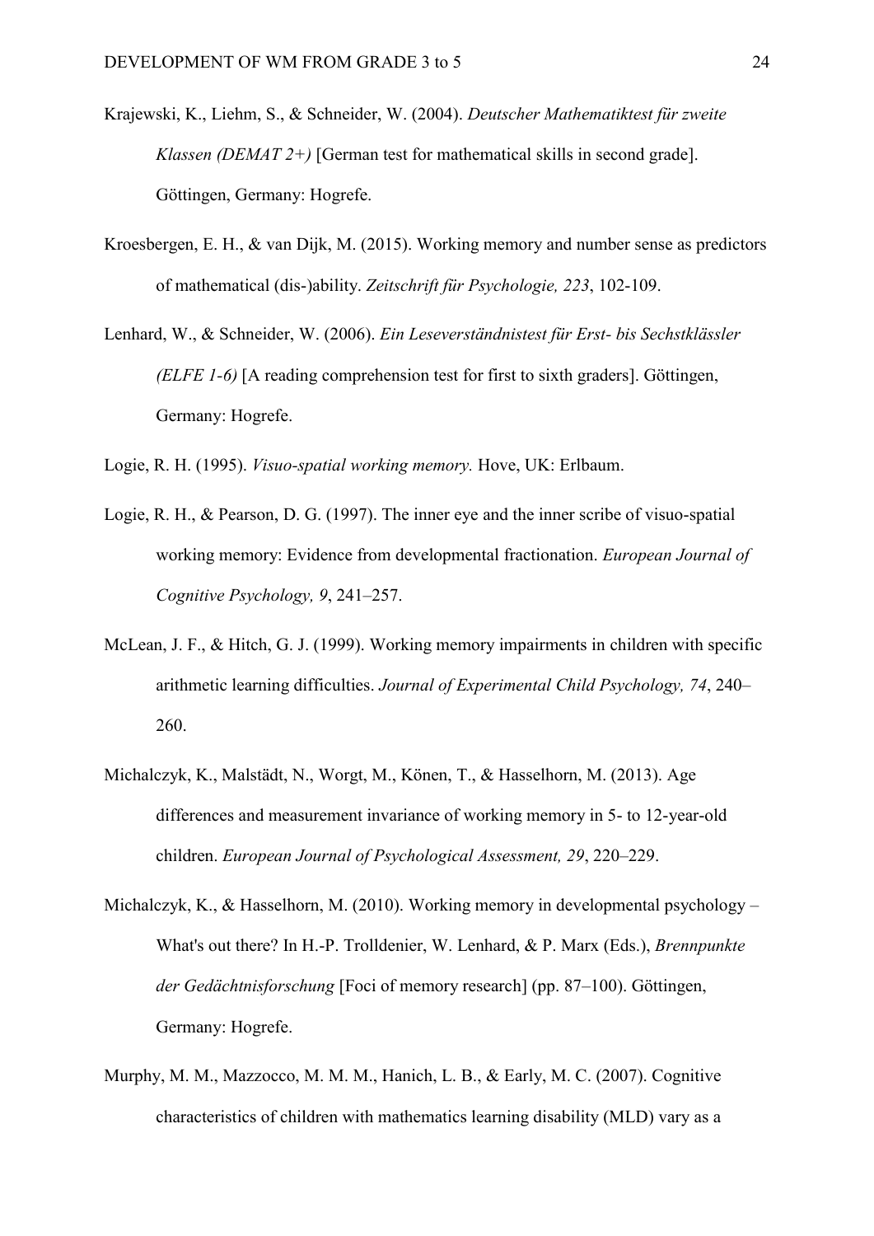- Krajewski, K., Liehm, S., & Schneider, W. (2004). *Deutscher Mathematiktest für zweite Klassen (DEMAT 2+)* [German test for mathematical skills in second grade]. Göttingen, Germany: Hogrefe.
- Kroesbergen, E. H., & van Dijk, M. (2015). [Working memory and number sense as predictors](http://dx.doi.org/10.1027/2151-2604/a000208)  [of mathematical \(dis-\)ability.](http://dx.doi.org/10.1027/2151-2604/a000208) *Zeitschrift für Psychologie, 223*, 102-109.
- Lenhard, W., & Schneider, W. (2006). *Ein Leseverständnistest für Erst- bis Sechstklässler (ELFE 1-6)* [A reading comprehension test for first to sixth graders]. Göttingen, Germany: Hogrefe.

Logie, R. H. (1995). *Visuo-spatial working memory.* Hove, UK: Erlbaum.

- Logie, R. H., & Pearson, D. G. (1997). The inner eye and the inner scribe of visuo-spatial working memory: Evidence from developmental fractionation. *European Journal of Cognitive Psychology, 9*, 241–257.
- McLean, J. F., & Hitch, G. J. (1999). Working memory impairments in children with specific arithmetic learning difficulties. *Journal of Experimental Child Psychology, 74*, 240– 260.
- Michalczyk, K., Malstädt, N., Worgt, M., Könen, T., & Hasselhorn, M. (2013). Age differences and measurement invariance of working memory in 5- to 12-year-old children. *European Journal of Psychological Assessment, 29*, 220–229.
- Michalczyk, K., & Hasselhorn, M. (2010). Working memory in developmental psychology What's out there? In H.-P. Trolldenier, W. Lenhard, & P. Marx (Eds.), *Brennpunkte der Gedächtnisforschung* [Foci of memory research] (pp. 87–100). Göttingen, Germany: Hogrefe.
- Murphy, M. M., Mazzocco, M. M. M., Hanich, L. B., & Early, M. C. (2007). Cognitive characteristics of children with mathematics learning disability (MLD) vary as a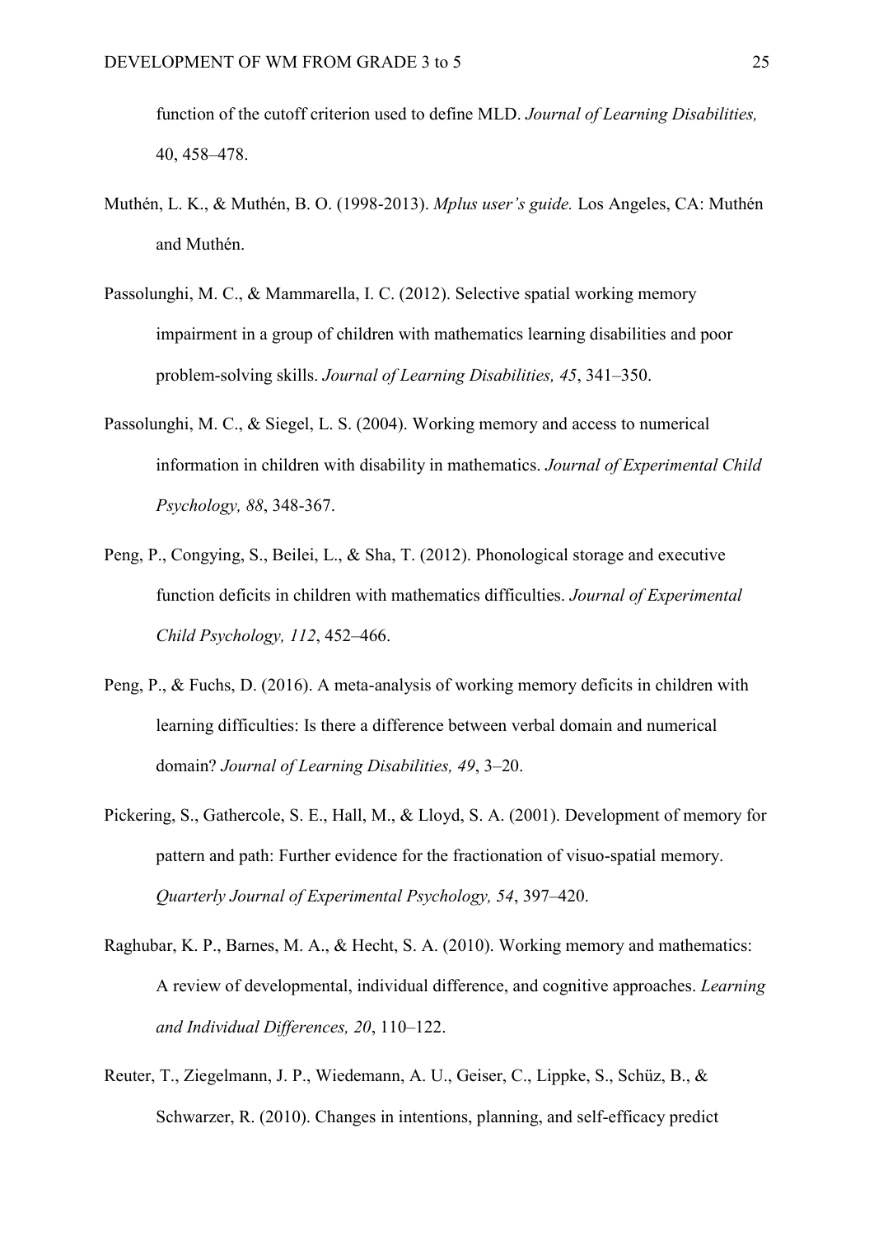function of the cutoff criterion used to define MLD. *Journal of Learning Disabilities,*  40, 458–478.

- Muthén, L. K., & Muthén, B. O. (1998-2013). *Mplus user's guide.* Los Angeles, CA: Muthén and Muthén.
- Passolunghi, M. C., & Mammarella, I. C. (2012). Selective spatial working memory impairment in a group of children with mathematics learning disabilities and poor problem-solving skills. *Journal of Learning Disabilities, 45*, 341–350.
- Passolunghi, M. C., & Siegel, L. S. (2004). Working memory and access to numerical information in children with disability in mathematics. *Journal of Experimental Child Psychology, 88*, 348-367.
- Peng, P., Congying, S., Beilei, L., & Sha, T. (2012). Phonological storage and executive function deficits in children with mathematics difficulties. *Journal of Experimental Child Psychology, 112*, 452–466.
- Peng, P., & Fuchs, D. (2016). A meta-analysis of working memory deficits in children with learning difficulties: Is there a difference between verbal domain and numerical domain? *Journal of Learning Disabilities, 49*, 3–20.
- Pickering, S., Gathercole, S. E., Hall, M., & Lloyd, S. A. (2001). Development of memory for pattern and path: Further evidence for the fractionation of visuo-spatial memory. *Quarterly Journal of Experimental Psychology, 54*, 397–420.
- Raghubar, K. P., Barnes, M. A., & Hecht, S. A. (2010). Working memory and mathematics: A review of developmental, individual difference, and cognitive approaches. *Learning and Individual Differences, 20*, 110–122.
- Reuter, T., Ziegelmann, J. P., Wiedemann, A. U., Geiser, C., Lippke, S., Schüz, B., & Schwarzer, R. (2010). Changes in intentions, planning, and self-efficacy predict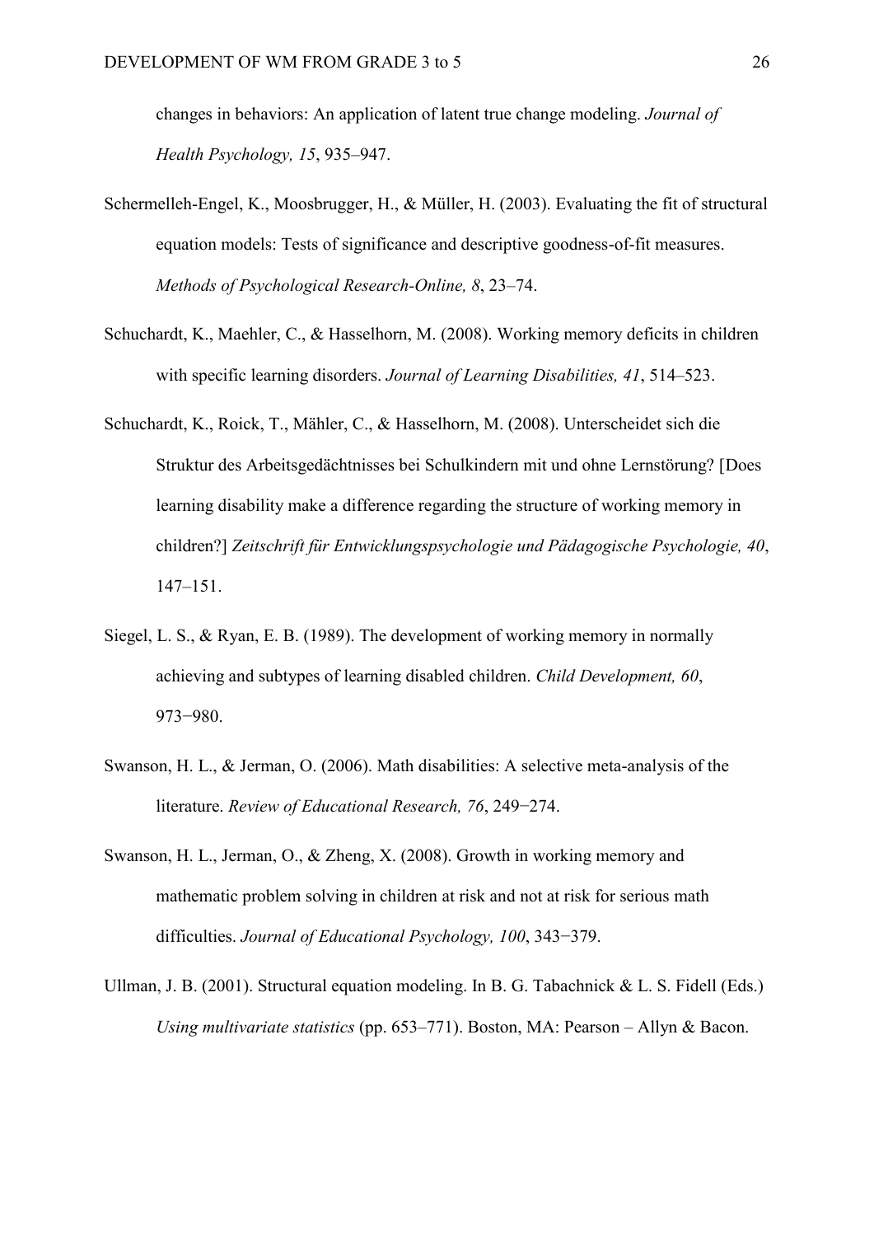changes in behaviors: An application of latent true change modeling. *Journal of Health Psychology, 15*, 935–947.

- Schermelleh-Engel, K., Moosbrugger, H., & Müller, H. (2003). Evaluating the fit of structural equation models: Tests of significance and descriptive goodness-of-fit measures. *Methods of Psychological Research-Online, 8*, 23–74.
- Schuchardt, K., Maehler, C., & Hasselhorn, M. (2008). Working memory deficits in children with specific learning disorders. *Journal of Learning Disabilities, 41*, 514–523.
- Schuchardt, K., Roick, T., Mähler, C., & Hasselhorn, M. (2008). Unterscheidet sich die Struktur des Arbeitsgedächtnisses bei Schulkindern mit und ohne Lernstörung? [Does learning disability make a difference regarding the structure of working memory in children?] *Zeitschrift für Entwicklungspsychologie und Pädagogische Psychologie, 40*, 147–151.
- Siegel, L. S., & Ryan, E. B. (1989). The development of working memory in normally achieving and subtypes of learning disabled children. *Child Development, 60*, 973−980.
- Swanson, H. L., & Jerman, O. (2006). Math disabilities: A selective meta-analysis of the literature. *Review of Educational Research, 76*, 249−274.
- Swanson, H. L., Jerman, O., & Zheng, X. (2008). Growth in working memory and mathematic problem solving in children at risk and not at risk for serious math difficulties. *Journal of Educational Psychology, 100*, 343−379.
- Ullman, J. B. (2001). Structural equation modeling. In B. G. Tabachnick & L. S. Fidell (Eds.) *Using multivariate statistics* (pp. 653–771). Boston, MA: Pearson – Allyn & Bacon.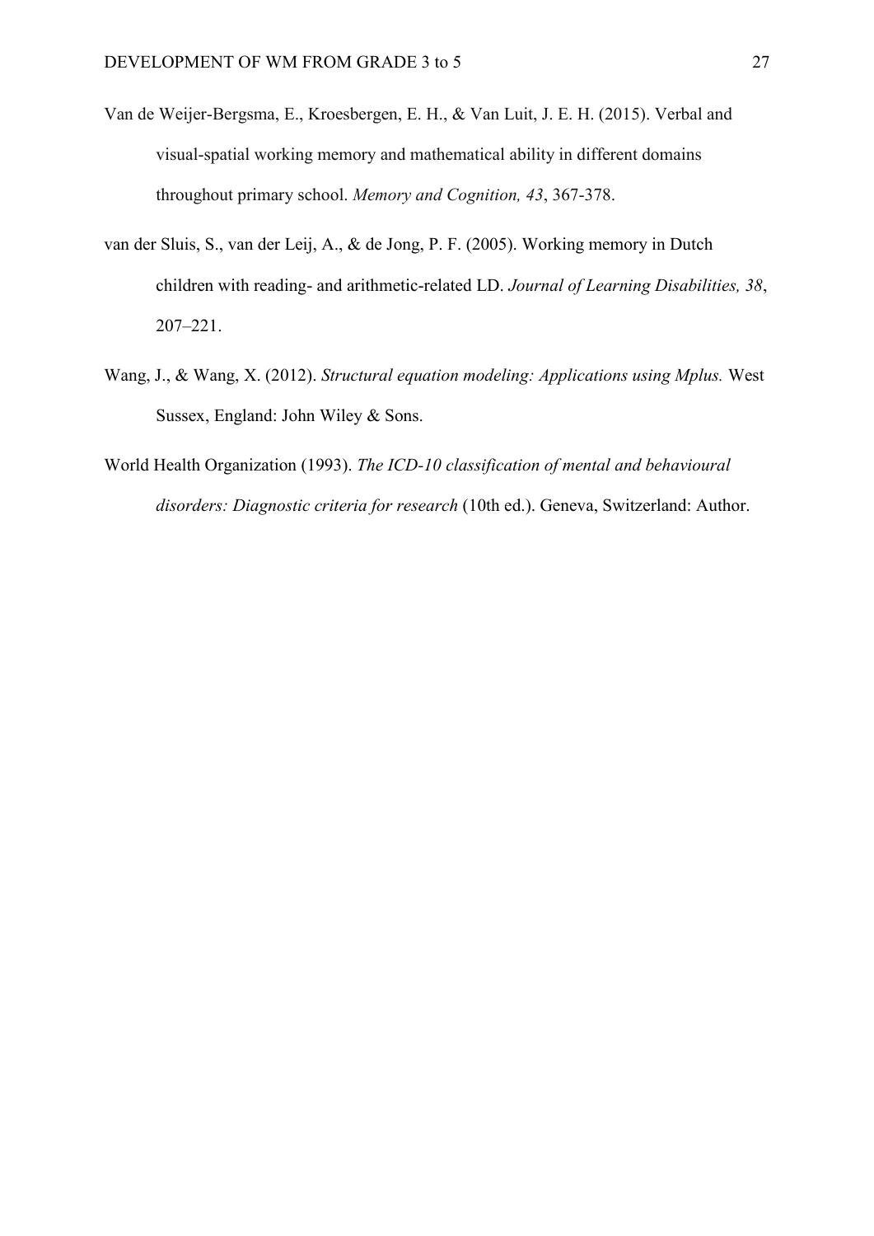- Van de Weijer-Bergsma, E., Kroesbergen, E. H., & Van Luit, J. E. H. (2015). Verbal and visual-spatial working memory and mathematical ability in different domains throughout primary school. *Memory and Cognition, 43*, 367-378.
- van der Sluis, S., van der Leij, A., & de Jong, P. F. (2005). Working memory in Dutch children with reading- and arithmetic-related LD. *Journal of Learning Disabilities, 38*, 207–221.
- Wang, J., & Wang, X. (2012). *Structural equation modeling: Applications using Mplus.* West Sussex, England: John Wiley & Sons.
- World Health Organization (1993). *The ICD-10 classification of mental and behavioural disorders: Diagnostic criteria for research* (10th ed.). Geneva, Switzerland: Author.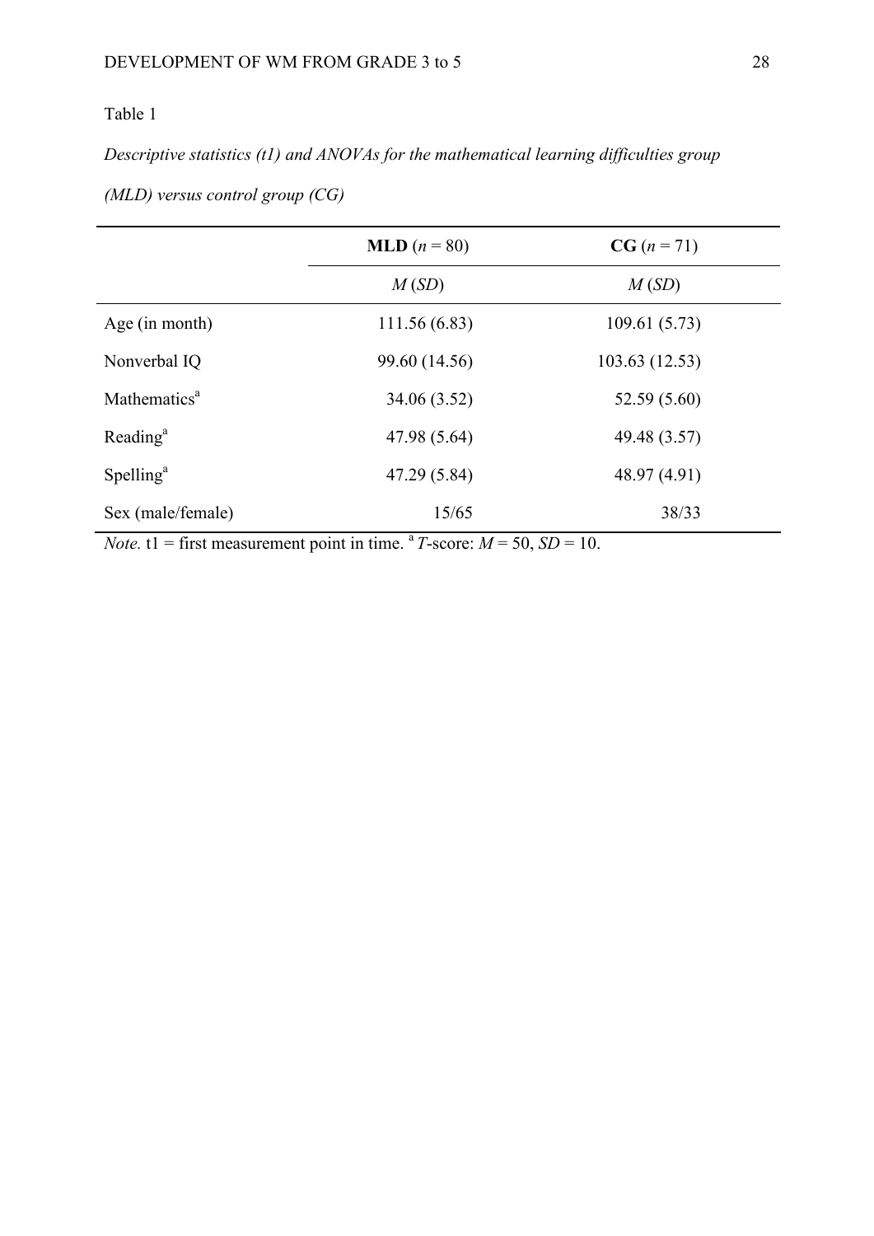## Table 1

*Descriptive statistics (t1) and ANOVAs for the mathematical learning difficulties group* 

|                          | <b>MLD</b> $(n = 80)$ | $CG (n = 71)$  |
|--------------------------|-----------------------|----------------|
|                          | M(SD)                 | M(SD)          |
| Age $(in month)$         | 111.56 (6.83)         | 109.61(5.73)   |
| Nonverbal IQ             | 99.60 (14.56)         | 103.63 (12.53) |
| Mathematics <sup>a</sup> | 34.06 (3.52)          | 52.59 (5.60)   |
| Reading <sup>a</sup>     | 47.98 (5.64)          | 49.48 (3.57)   |
| Spelling <sup>a</sup>    | 47.29 (5.84)          | 48.97 (4.91)   |
| Sex (male/female)        | 15/65                 | 38/33          |

*(MLD) versus control group (CG)* 

*Note.*  $t1 =$  first measurement point in time. <sup>a</sup> *T*-score:  $M = 50$ ,  $SD = 10$ .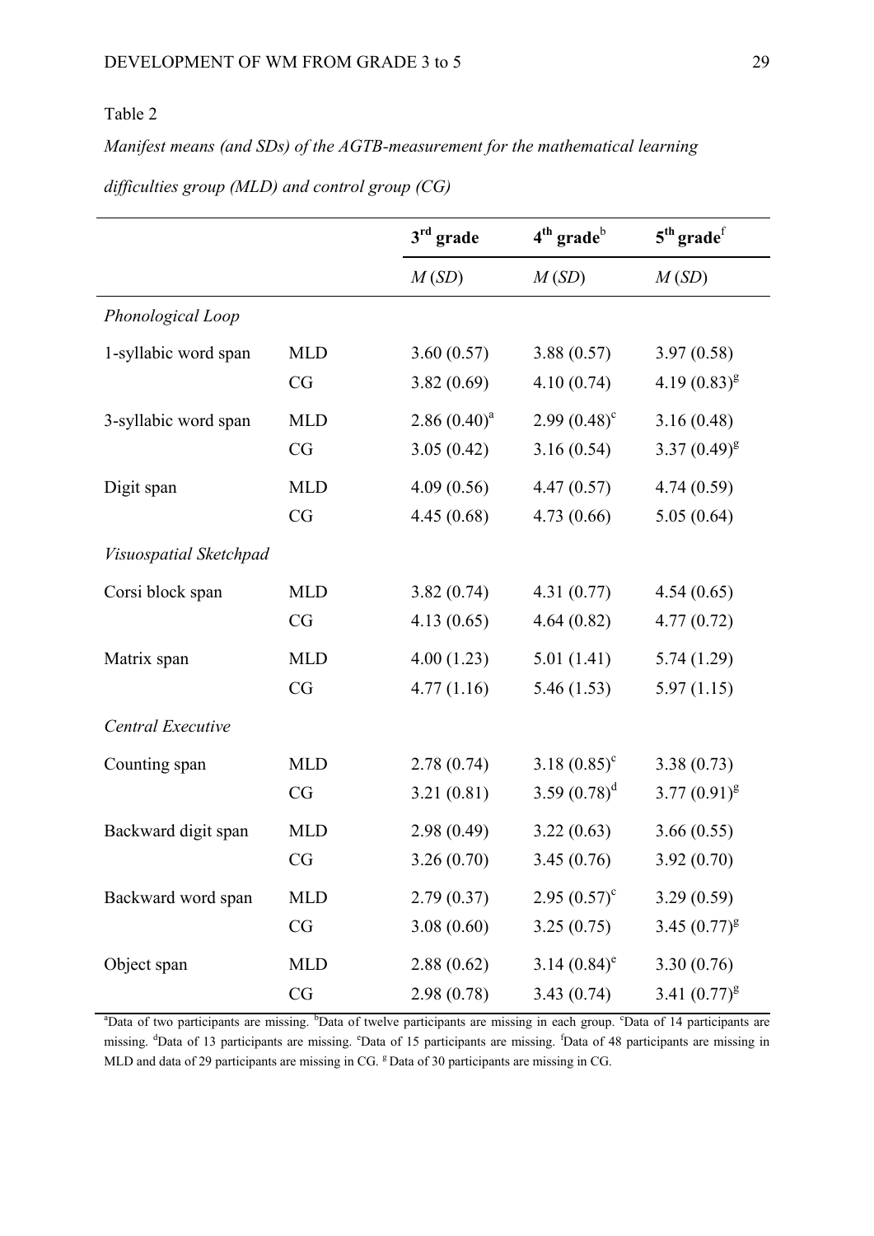## Table 2

*Manifest means (and SDs) of the AGTB-measurement for the mathematical learning* 

|                        |            | $3rd$ grade     | $4th$ grade <sup>b</sup>   | $5th$ grade <sup>f</sup> |
|------------------------|------------|-----------------|----------------------------|--------------------------|
|                        |            | M(SD)           | M(SD)                      | M(SD)                    |
| Phonological Loop      |            |                 |                            |                          |
| 1-syllabic word span   | <b>MLD</b> | 3.60(0.57)      | 3.88(0.57)                 | 3.97(0.58)               |
|                        | CG         | 3.82(0.69)      | 4.10(0.74)                 | 4.19 $(0.83)^{g}$        |
| 3-syllabic word span   | <b>MLD</b> | 2.86 $(0.40)^a$ | $2.99(0.48)^c$             | 3.16(0.48)               |
|                        | CG         | 3.05(0.42)      | 3.16(0.54)                 | $3.37(0.49)^{g}$         |
| Digit span             | <b>MLD</b> | 4.09(0.56)      | 4.47(0.57)                 | 4.74(0.59)               |
|                        | CG         | 4.45(0.68)      | 4.73(0.66)                 | 5.05(0.64)               |
| Visuospatial Sketchpad |            |                 |                            |                          |
| Corsi block span       | <b>MLD</b> | 3.82(0.74)      | 4.31(0.77)                 | 4.54(0.65)               |
|                        | CG         | 4.13(0.65)      | 4.64(0.82)                 | 4.77(0.72)               |
| Matrix span            | <b>MLD</b> | 4.00(1.23)      | 5.01(1.41)                 | 5.74(1.29)               |
|                        | CG         | 4.77(1.16)      | 5.46(1.53)                 | 5.97(1.15)               |
| Central Executive      |            |                 |                            |                          |
| Counting span          | <b>MLD</b> | 2.78(0.74)      | 3.18 $(0.85)^c$            | 3.38(0.73)               |
|                        | CG         | 3.21(0.81)      | 3.59 $(0.78)^d$            | $3.77(0.91)^{g}$         |
| Backward digit span    | <b>MLD</b> | 2.98(0.49)      | 3.22(0.63)                 | 3.66(0.55)               |
|                        | CG         | 3.26(0.70)      | 3.45(0.76)                 | 3.92(0.70)               |
| Backward word span     | <b>MLD</b> | 2.79(0.37)      | 2.95 $(0.57)^{\circ}$      | 3.29(0.59)               |
|                        | CG         | 3.08(0.60)      | 3.25(0.75)                 | 3.45 $(0.77)^{g}$        |
| Object span            | <b>MLD</b> | 2.88(0.62)      | 3.14 $(0.84)$ <sup>e</sup> | 3.30(0.76)               |
|                        | CG         | 2.98(0.78)      | 3.43(0.74)                 | 3.41 $(0.77)^{g}$        |

*difficulties group (MLD) and control group (CG)* 

<sup>a</sup>Data of two participants are missing. <sup>b</sup>Data of twelve participants are missing in each group. <sup>c</sup>Data of 14 participants are missing. <sup>d</sup>Data of 13 participants are missing. <sup>e</sup>Data of 15 participants are missing. <sup>f</sup>Data of 48 participants are missing in MLD and data of 29 participants are missing in CG. <sup>g</sup> Data of 30 participants are missing in CG.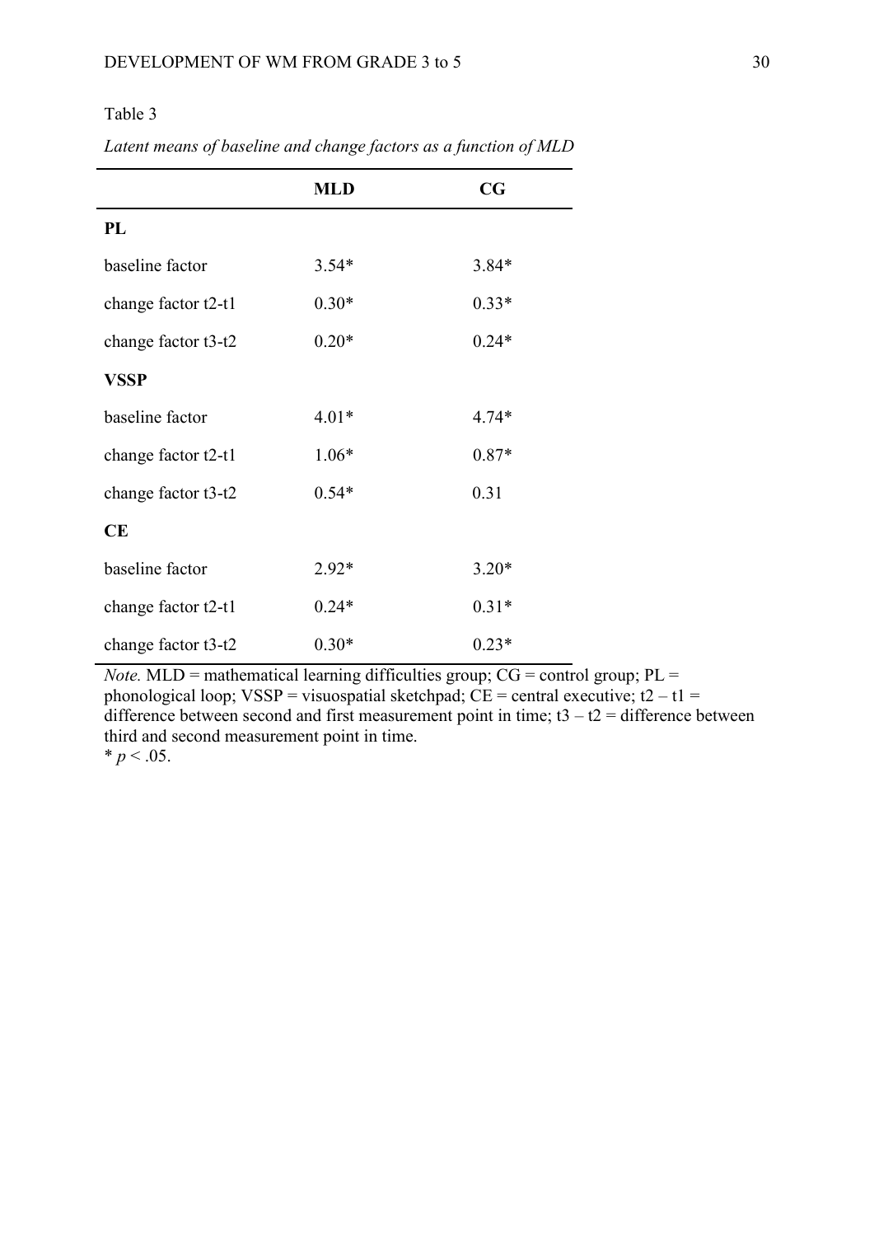## Table 3

|                     | <b>MLD</b> | CG      |
|---------------------|------------|---------|
| PL                  |            |         |
| baseline factor     | $3.54*$    | $3.84*$ |
| change factor t2-t1 | $0.30*$    | $0.33*$ |
| change factor t3-t2 | $0.20*$    | $0.24*$ |
| VSSP                |            |         |
| baseline factor     | $4.01*$    | $4.74*$ |
| change factor t2-t1 | $1.06*$    | $0.87*$ |
| change factor t3-t2 | $0.54*$    | 0.31    |
| CE                  |            |         |
| baseline factor     | $2.92*$    | $3.20*$ |
| change factor t2-t1 | $0.24*$    | $0.31*$ |
| change factor t3-t2 | $0.30*$    | $0.23*$ |

*Latent means of baseline and change factors as a function of MLD*

*Note.* MLD = mathematical learning difficulties group;  $CG = control$  group;  $PL =$ phonological loop; VSSP = visuospatial sketchpad;  $\overrightarrow{CE}$  = central executive; t2 – t1 = difference between second and first measurement point in time;  $t3 - t2 =$  difference between third and second measurement point in time.  $* p < .05$ .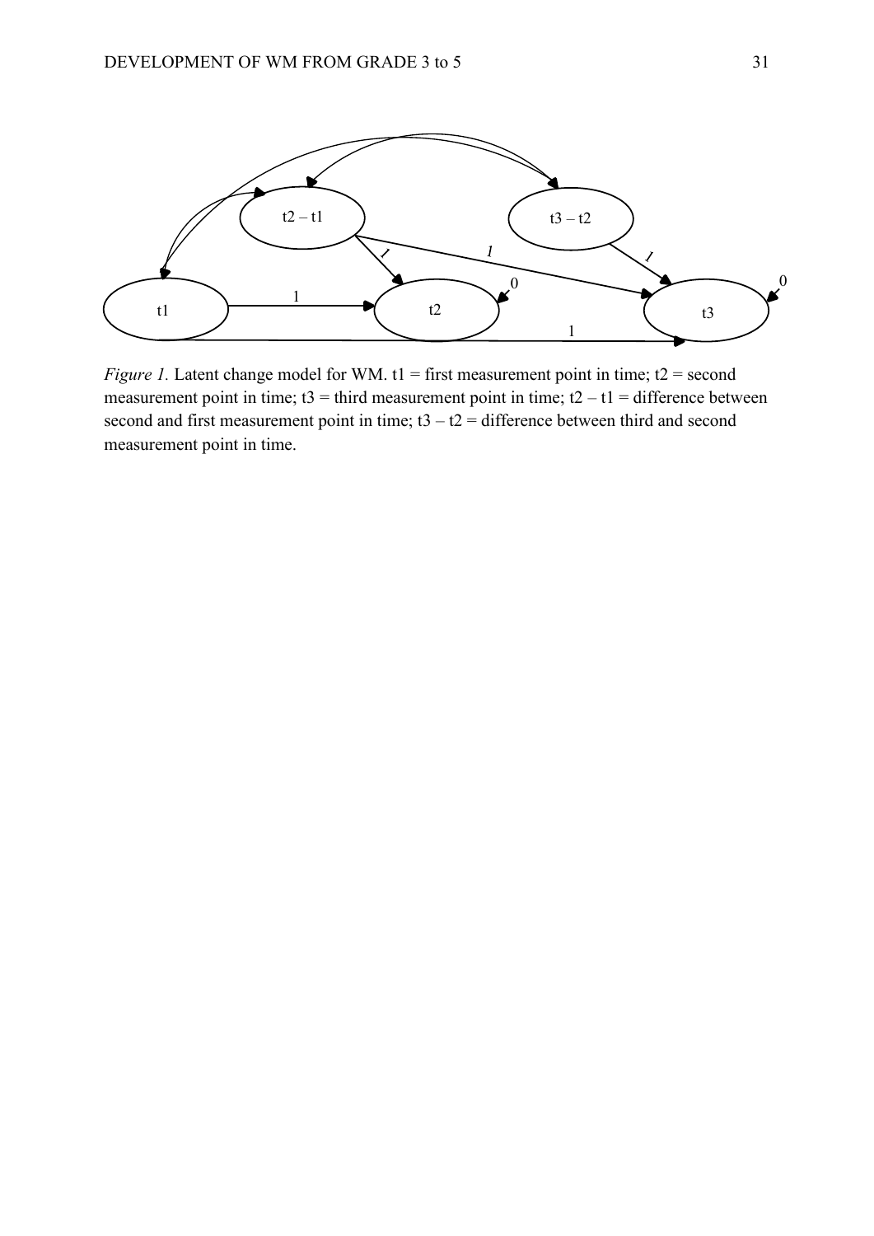

*Figure 1.* Latent change model for WM. t1 = first measurement point in time; t2 = second measurement point in time;  $t3 =$  third measurement point in time;  $t2 - t1 =$  difference between second and first measurement point in time;  $t3 - t2 =$  difference between third and second measurement point in time.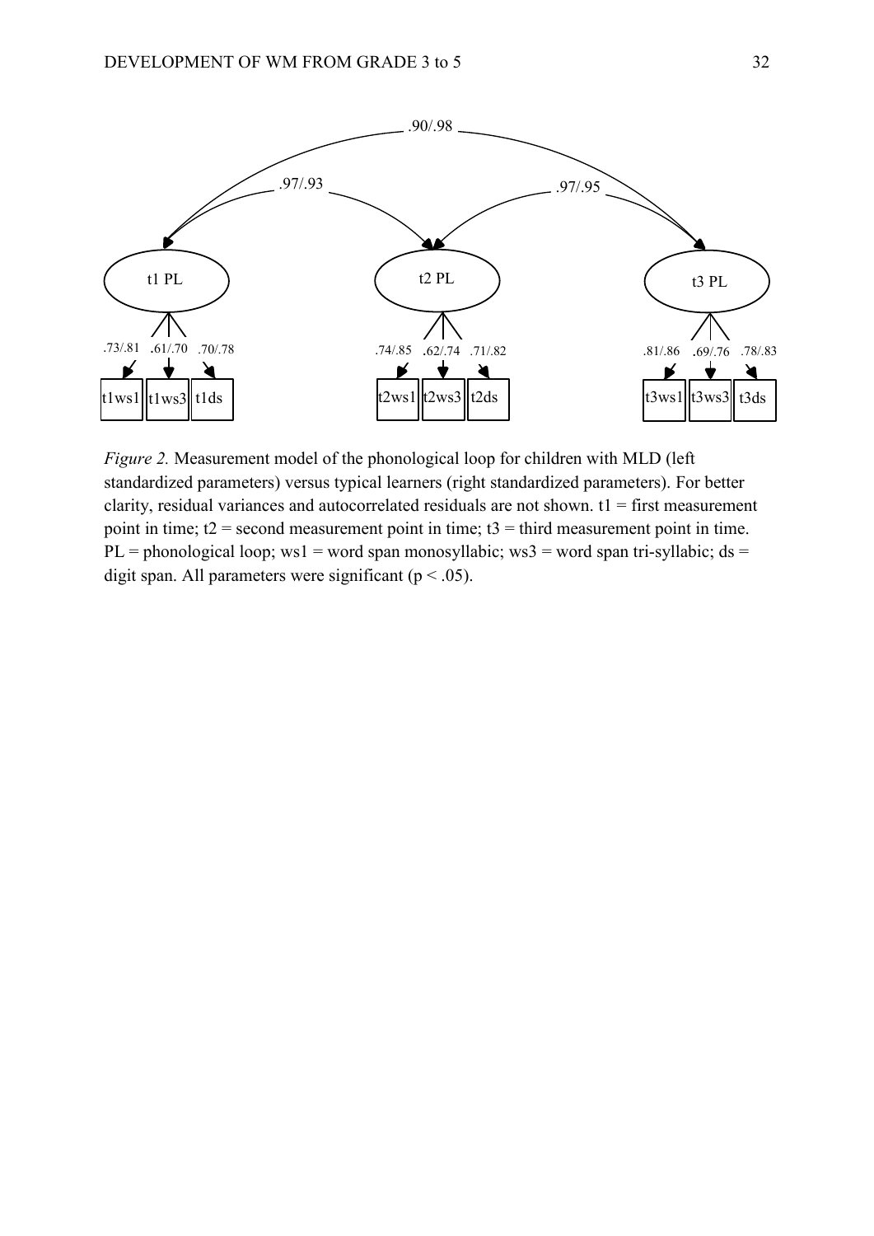

*Figure 2.* Measurement model of the phonological loop for children with MLD (left) standardized parameters) versus typical learners (right standardized parameters). For better clarity, residual variances and autocorrelated residuals are not shown.  $t_1$  = first measurement point in time;  $t2$  = second measurement point in time;  $t3$  = third measurement point in time. PL = phonological loop; ws1 = word span monosyllabic; ws3 = word span tri-syllabic; ds = digit span. All parameters were significant ( $p < .05$ ).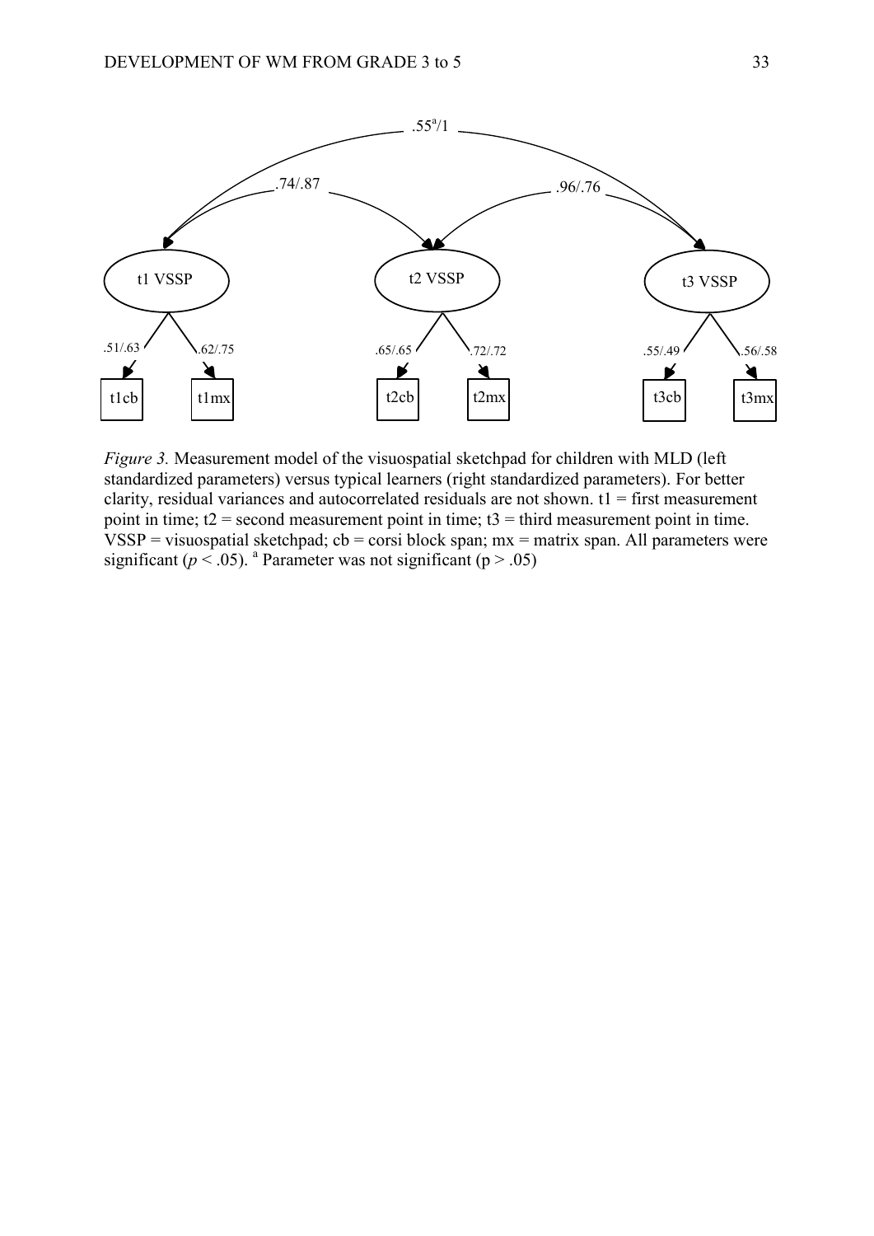

*Figure 3.* Measurement model of the visuospatial sketchpad for children with MLD (left standardized parameters) versus typical learners (right standardized parameters). For better clarity, residual variances and autocorrelated residuals are not shown.  $t_1$  = first measurement point in time;  $t2$  = second measurement point in time;  $t3$  = third measurement point in time.  $VSSP =$  visuospatial sketchpad; cb = corsi block span; mx = matrix span. All parameters were significant ( $p < .05$ ). <sup>a</sup> Parameter was not significant ( $p > .05$ )